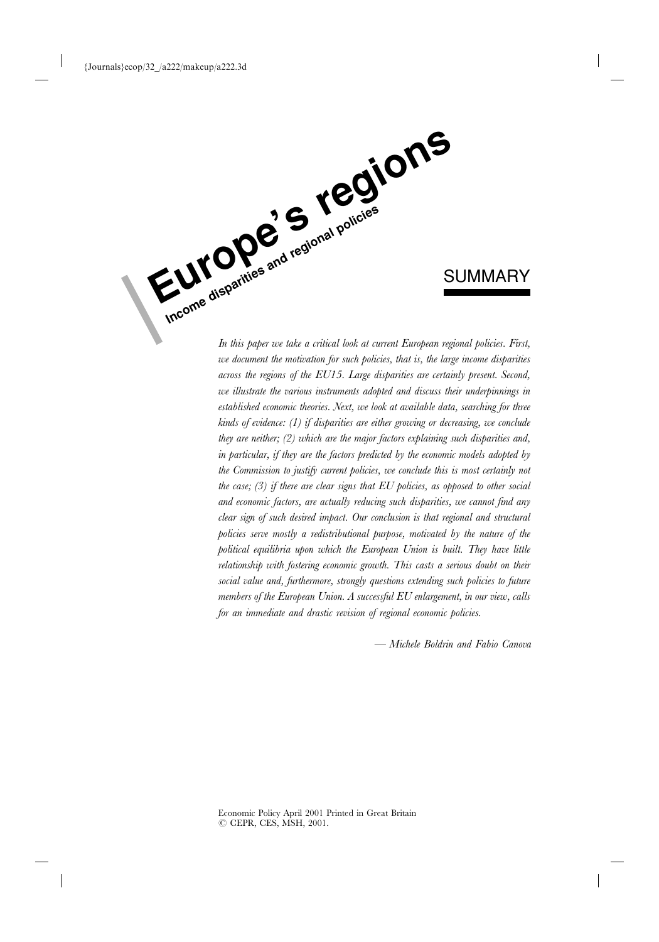Europe disparities and regional policies **SUMMARY** 

In this paper we take a critical look at current European regional policies. First, we document the motivation for such policies, that is, the large income disparities across the regions of the EU15. Large disparities are certainly present. Second, we illustrate the various instruments adopted and discuss their underpinnings in established economic theories. Next, we look at available data, searching for three kinds of evidence:  $(1)$  if disparities are either growing or decreasing, we conclude they are neither; (2) which are the major factors explaining such disparities and, in particular, if they are the factors predicted by the economic models adopted by the Commission to justify current policies, we conclude this is most certainly not the case; (3) if there are clear signs that  $EU$  policies, as opposed to other social and economic factors, are actually reducing such disparities, we cannot find any clear sign of such desired impact. Our conclusion is that regional and structural policies serve mostly a redistributional purpose, motivated by the nature of the political equilibria upon which the European Union is built. They have little relationship with fostering economic growth. This casts a serious doubt on their social value and, furthermore, strongly questions extending such policies to future members of the European Union. A successful EU enlargement, in our view, calls for an immediate and drastic revision of regional economic policies.

- Michele Boldrin and Fabio Canova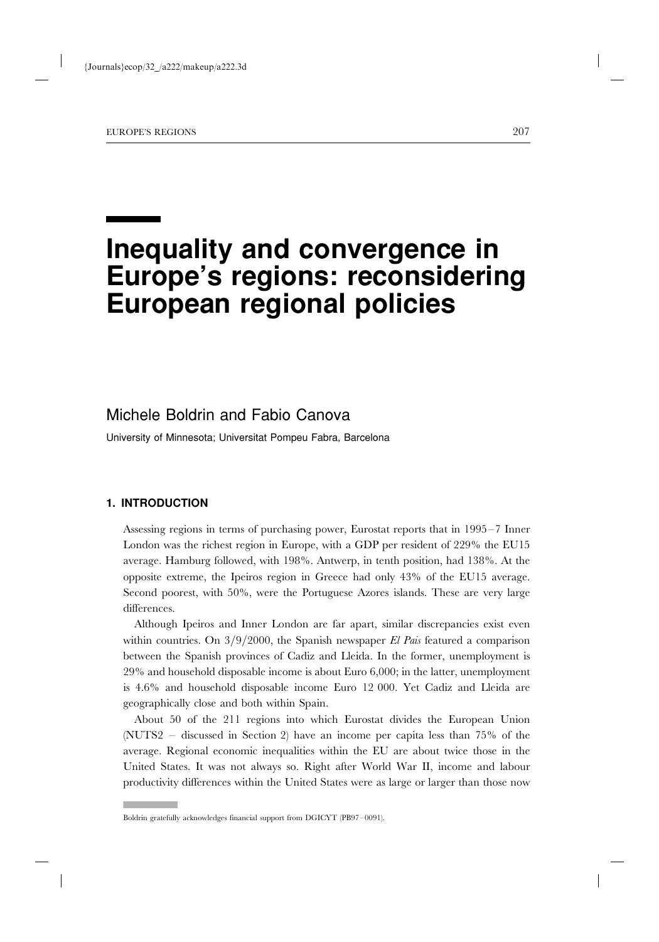# Inequality and convergence in Europe's regions: reconsidering **European regional policies**

## Michele Boldrin and Fabio Canova

University of Minnesota; Universitat Pompeu Fabra, Barcelona

## **1. INTRODUCTION**

Assessing regions in terms of purchasing power, Eurostat reports that in 1995–7 Inner London was the richest region in Europe, with a GDP per resident of 229% the EU15 average. Hamburg followed, with 198%. Antwerp, in tenth position, had 138%. At the opposite extreme, the Ipeiros region in Greece had only 43% of the EU15 average. Second poorest, with 50%, were the Portuguese Azores islands. These are very large differences.

Although Ipeiros and Inner London are far apart, similar discrepancies exist even within countries. On  $3/9/2000$ , the Spanish newspaper El Pais featured a comparison between the Spanish provinces of Cadiz and Lleida. In the former, unemployment is 29% and household disposable income is about Euro 6,000; in the latter, unemployment is 4.6% and household disposable income Euro 12 000. Yet Cadiz and Lleida are geographically close and both within Spain.

About 50 of the 211 regions into which Eurostat divides the European Union (NUTS2 – discussed in Section 2) have an income per capita less than 75% of the average. Regional economic inequalities within the EU are about twice those in the United States. It was not always so. Right after World War II, income and labour productivity differences within the United States were as large or larger than those now

Boldrin gratefully acknowledges financial support from DGICYT (PB97-0091).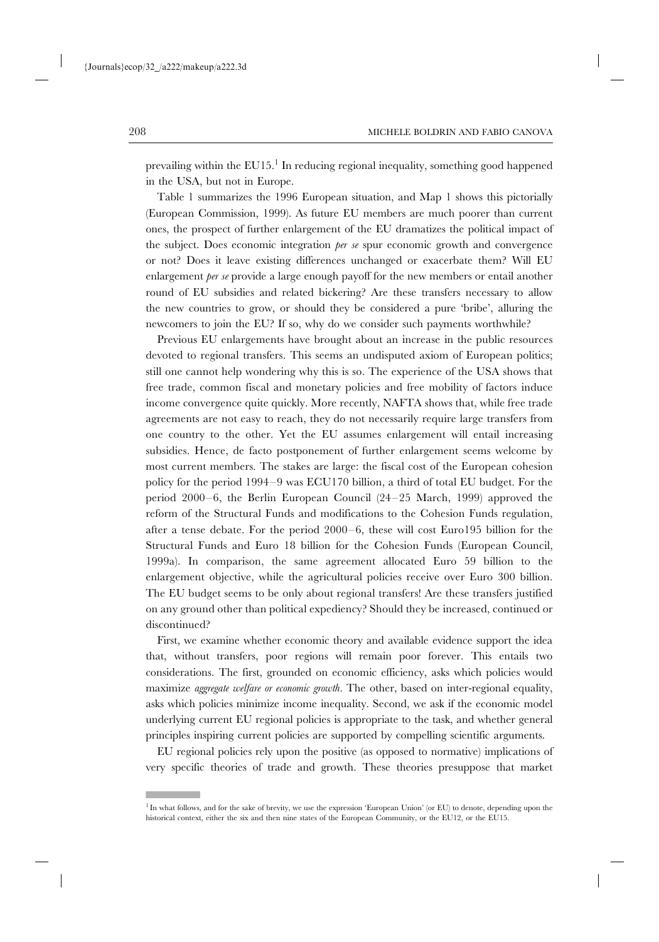prevailing within the EU15.<sup>1</sup> In reducing regional inequality, something good happened in the USA, but not in Europe.

Table 1 summarizes the 1996 European situation, and Map 1 shows this pictorially (European Commission, 1999). As future EU members are much poorer than current ones, the prospect of further enlargement of the EU dramatizes the political impact of the subject. Does economic integration  $per$  se spur economic growth and convergence or not? Does it leave existing differences unchanged or exacerbate them? Will EU enlargement per se provide a large enough payoff for the new members or entail another round of EU subsidies and related bickering? Are these transfers necessary to allow the new countries to grow, or should they be considered a pure 'bribe', alluring the newcomers to join the EU? If so, why do we consider such payments worthwhile?

Previous EU enlargements have brought about an increase in the public resources devoted to regional transfers. This seems an undisputed axiom of European politics; still one cannot help wondering why this is so. The experience of the USA shows that free trade, common fiscal and monetary policies and free mobility of factors induce income convergence quite quickly. More recently, NAFTA shows that, while free trade agreements are not easy to reach, they do not necessarily require large transfers from one country to the other. Yet the EU assumes enlargement will entail increasing subsidies. Hence, de facto postponement of further enlargement seems welcome by most current members. The stakes are large: the fiscal cost of the European cohesion policy for the period 1994–9 was ECU170 billion, a third of total EU budget. For the period  $2000-6$ , the Berlin European Council  $(24-25$  March, 1999) approved the reform of the Structural Funds and modifications to the Cohesion Funds regulation, after a tense debate. For the period  $2000-6$ , these will cost Euro195 billion for the Structural Funds and Euro 18 billion for the Cohesion Funds (European Council, 1999a). In comparison, the same agreement allocated Euro 59 billion to the enlargement objective, while the agricultural policies receive over Euro 300 billion. The EU budget seems to be only about regional transfers! Are these transfers justified on any ground other than political expediency? Should they be increased, continued or discontinued?

First, we examine whether economic theory and available evidence support the idea that, without transfers, poor regions will remain poor forever. This entails two considerations. The first, grounded on economic efficiency, asks which policies would maximize aggregate welfare or economic growth. The other, based on inter-regional equality, asks which policies minimize income inequality. Second, we ask if the economic model underlying current EU regional policies is appropriate to the task, and whether general principles inspiring current policies are supported by compelling scientific arguments.

EU regional policies rely upon the positive (as opposed to normative) implications of very specific theories of trade and growth. These theories presuppose that market

<sup>&</sup>lt;sup>1</sup> In what follows, and for the sake of brevity, we use the expression 'European Union' (or EU) to denote, depending upon the historical context, either the six and then nine states of the European Community, or the EU12, or the EU15.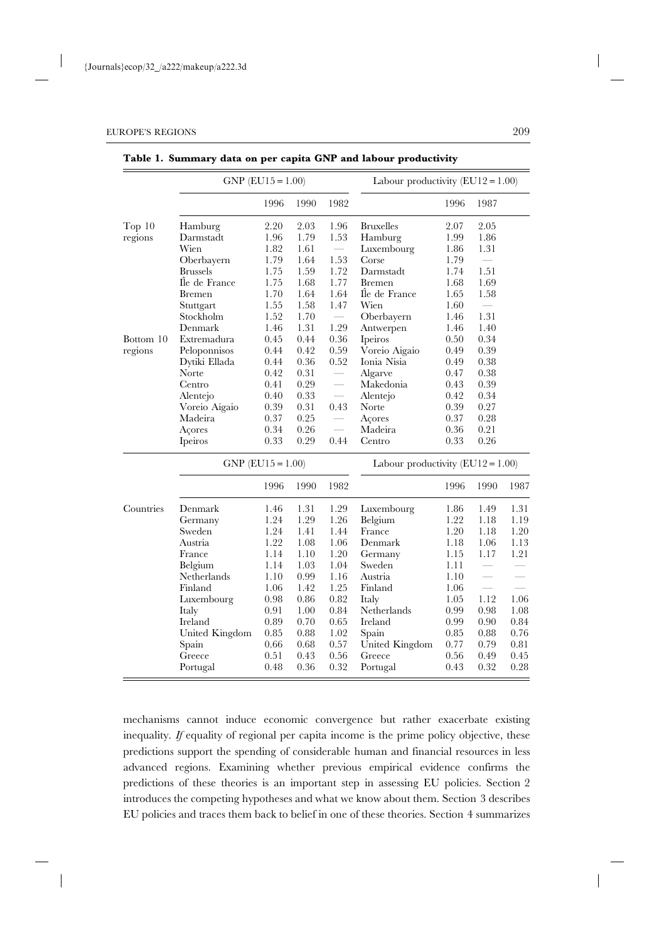|           | $GNP$ (EU15 = 1.00) |                     |      |                          | Labour productivity $(EU12 = 1.00)$ |                                     |                          |      |  |
|-----------|---------------------|---------------------|------|--------------------------|-------------------------------------|-------------------------------------|--------------------------|------|--|
|           |                     | 1996                | 1990 | 1982                     |                                     | 1996                                | 1987                     |      |  |
| Top $10$  | Hamburg             | 2.20                | 2.03 | 1.96                     | <b>Bruxelles</b>                    | 2.07                                | 2.05                     |      |  |
| regions   | Darmstadt           | 1.96                | 1.79 | 1.53                     | Hamburg                             | 1.99                                | 1.86                     |      |  |
|           | Wien                | 1.82                | 1.61 | $\overline{\phantom{0}}$ | Luxembourg                          | 1.86                                | 1.31                     |      |  |
|           | Oberbayern          | 1.79                | 1.64 | 1.53                     | Corse                               | 1.79                                |                          |      |  |
|           | <b>Brussels</b>     | 1.75                | 1.59 | 1.72                     | Darmstadt                           | 1.74                                | 1.51                     |      |  |
|           | Ile de France       | 1.75                | 1.68 | 1.77                     | <b>Bremen</b>                       | 1.68                                | 1.69                     |      |  |
|           | <b>Bremen</b>       | 1.70                | 1.64 | 1.64                     | Ile de France                       | 1.65                                | 1.58                     |      |  |
|           | Stuttgart           | 1.55                | 1.58 | 1.47                     | Wien                                | 1.60                                |                          |      |  |
|           | Stockholm           | 1.52                | 1.70 | $\overline{\phantom{m}}$ | Oberbayern                          | 1.46                                | 1.31                     |      |  |
|           | Denmark             | 1.46                | 1.31 | 1.29                     | Antwerpen                           | 1.46                                | 1.40                     |      |  |
| Bottom 10 | Extremadura         | 0.45                | 0.44 | 0.36                     | Ipeiros                             | 0.50                                | 0.34                     |      |  |
| regions   | Peloponnisos        | 0.44                | 0.42 | 0.59                     | Voreio Aigaio                       | 0.49                                | 0.39                     |      |  |
|           | Dytiki Ellada       | 0.44                | 0.36 | 0.52                     | Ionia Nisia                         | 0.49                                | 0.38                     |      |  |
|           | Norte               | 0.42                | 0.31 |                          | Algarve                             | 0.47                                | 0.38                     |      |  |
|           | Centro              | 0.41                | 0.29 |                          | Makedonia                           | 0.43                                | 0.39                     |      |  |
|           | Alentejo            | 0.40                | 0.33 |                          | Alentejo                            | 0.42                                | 0.34                     |      |  |
|           | Voreio Aigaio       | 0.39                | 0.31 | 0.43                     | Norte                               | 0.39                                | 0.27                     |      |  |
|           | Madeira             | 0.37                | 0.25 |                          | Acores                              | 0.37                                | 0.28                     |      |  |
|           | Açores              | 0.34                | 0.26 |                          | Madeira                             | 0.36                                | 0.21                     |      |  |
|           | Ipeiros             | 0.33                | 0.29 | 0.44                     | Centro                              | 0.33                                | 0.26                     |      |  |
|           |                     | GNP $(EU15 = 1.00)$ |      |                          |                                     | Labour productivity $(EU12 = 1.00)$ |                          |      |  |
|           |                     | 1996                | 1990 | 1982                     |                                     | 1996                                | 1990                     | 1987 |  |
| Countries | Denmark             | 1.46                | 1.31 | 1.29                     | Luxembourg                          | 1.86                                | 1.49                     | 1.31 |  |
|           | Germany             | 1.24                | 1.29 | 1.26                     | Belgium                             | 1.22                                | 1.18                     | 1.19 |  |
|           | Sweden              | 1.24                | 1.41 | 1.44                     | France                              | 1.20                                | 1.18                     | 1.20 |  |
|           | Austria             | 1.22                | 1.08 | 1.06                     | Denmark                             | 1.18                                | 1.06                     | 1.13 |  |
|           | France              | 1.14                | 1.10 | 1.20                     | Germany                             | 1.15                                | 1.17                     | 1.21 |  |
|           | Belgium             | 1.14                | 1.03 | 1.04                     | Sweden                              | 1.11                                |                          |      |  |
|           | Netherlands         | 1.10                | 0.99 | 1.16                     | Austria                             | 1.10                                |                          |      |  |
|           | Finland             | 1.06                | 1.42 | 1.25                     | Finland                             | 1.06                                | $\overline{\phantom{a}}$ |      |  |
|           | Luxembourg          | 0.98                | 0.86 | 0.82                     | Italy                               | 1.05                                | 1.12                     | 1.06 |  |
|           | Italy               | 0.91                | 1.00 | 0.84                     | Netherlands                         | 0.99                                | 0.98                     | 1.08 |  |
|           | Ireland             | 0.89                | 0.70 | 0.65                     | Ireland                             | 0.99                                | 0.90                     | 0.84 |  |
|           | United Kingdom      | 0.85                | 0.88 | 1.02                     | Spain                               | 0.85                                | 0.88                     | 0.76 |  |
|           | Spain               | 0.66                | 0.68 | 0.57                     | United Kingdom                      | 0.77                                | 0.79                     | 0.81 |  |
|           | Greece              | 0.51                | 0.43 | 0.56                     | Greece                              | 0.56                                | 0.49                     | 0.45 |  |
|           | Portugal            | 0.48                | 0.36 | 0.32                     | Portugal                            | 0.43                                | 0.32                     | 0.28 |  |

Table 1. Summary data on per capita GNP and labour productivity

mechanisms cannot induce economic convergence but rather exacerbate existing inequality. If equality of regional per capita income is the prime policy objective, these predictions support the spending of considerable human and financial resources in less advanced regions. Examining whether previous empirical evidence confirms the predictions of these theories is an important step in assessing EU policies. Section 2 introduces the competing hypotheses and what we know about them. Section 3 describes EU policies and traces them back to belief in one of these theories. Section 4 summarizes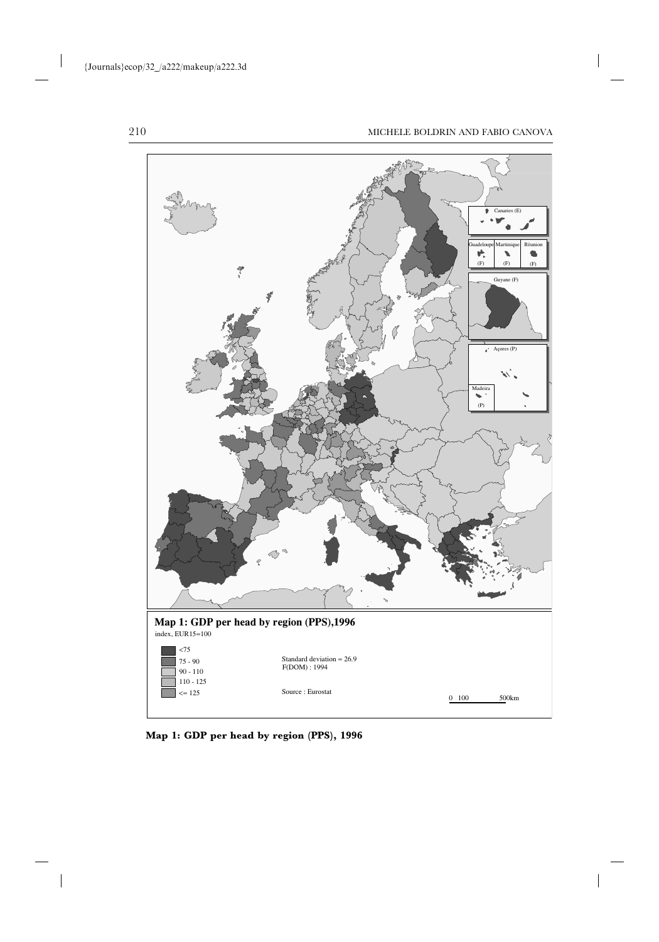

Map 1: GDP per head by region (PPS), 1996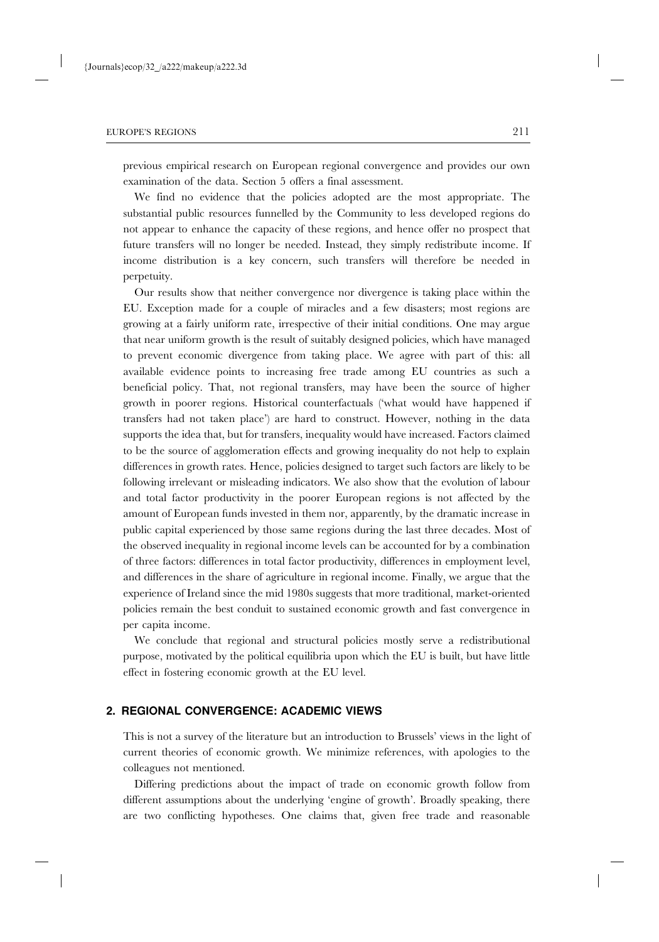examination of the data. Section 5 offers a final assessment.

We find no evidence that the policies adopted are the most appropriate. The substantial public resources funnelled by the Community to less developed regions do not appear to enhance the capacity of these regions, and hence offer no prospect that future transfers will no longer be needed. Instead, they simply redistribute income. If income distribution is a key concern, such transfers will therefore be needed in perpetuity.

Our results show that neither convergence nor divergence is taking place within the EU. Exception made for a couple of miracles and a few disasters; most regions are growing at a fairly uniform rate, irrespective of their initial conditions. One may argue that near uniform growth is the result of suitably designed policies, which have managed to prevent economic divergence from taking place. We agree with part of this: all available evidence points to increasing free trade among EU countries as such a beneficial policy. That, not regional transfers, may have been the source of higher growth in poorer regions. Historical counterfactuals ('what would have happened if transfers had not taken place') are hard to construct. However, nothing in the data supports the idea that, but for transfers, inequality would have increased. Factors claimed to be the source of agglomeration effects and growing inequality do not help to explain differences in growth rates. Hence, policies designed to target such factors are likely to be following irrelevant or misleading indicators. We also show that the evolution of labour and total factor productivity in the poorer European regions is not affected by the amount of European funds invested in them nor, apparently, by the dramatic increase in public capital experienced by those same regions during the last three decades. Most of the observed inequality in regional income levels can be accounted for by a combination of three factors: differences in total factor productivity, differences in employment level, and differences in the share of agriculture in regional income. Finally, we argue that the experience of Ireland since the mid 1980s suggests that more traditional, market-oriented policies remain the best conduit to sustained economic growth and fast convergence in per capita income.

We conclude that regional and structural policies mostly serve a redistributional purpose, motivated by the political equilibria upon which the EU is built, but have little effect in fostering economic growth at the EU level.

## 2. REGIONAL CONVERGENCE: ACADEMIC VIEWS

This is not a survey of the literature but an introduction to Brussels' views in the light of current theories of economic growth. We minimize references, with apologies to the colleagues not mentioned.

Differing predictions about the impact of trade on economic growth follow from different assumptions about the underlying 'engine of growth'. Broadly speaking, there are two conflicting hypotheses. One claims that, given free trade and reasonable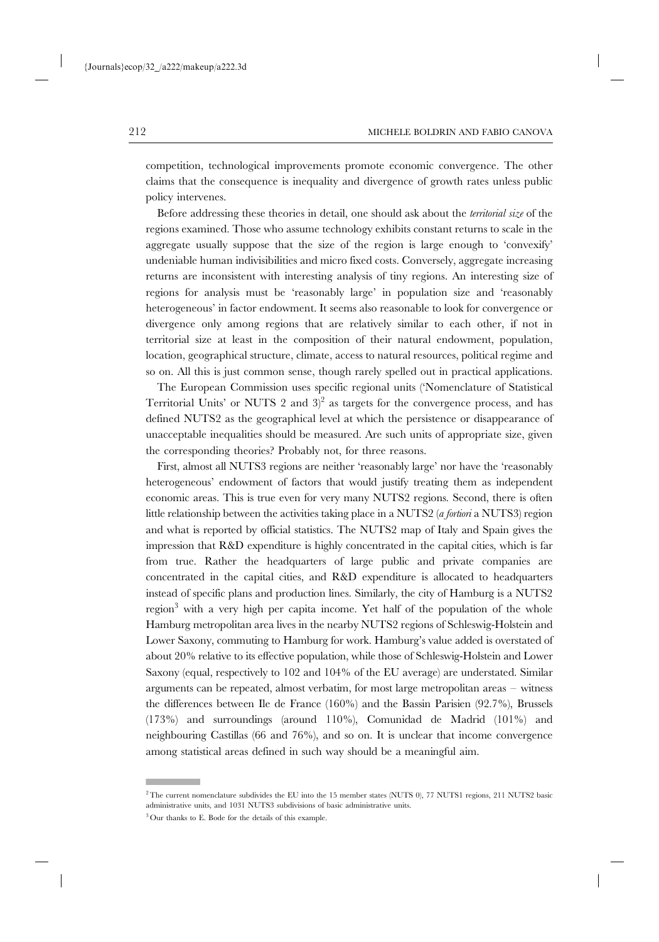competition, technological improvements promote economic convergence. The other claims that the consequence is inequality and divergence of growth rates unless public policy intervenes.

Before addressing these theories in detail, one should ask about the *territorial size* of the regions examined. Those who assume technology exhibits constant returns to scale in the aggregate usually suppose that the size of the region is large enough to 'convexify' undeniable human indivisibilities and micro fixed costs. Conversely, aggregate increasing returns are inconsistent with interesting analysis of tiny regions. An interesting size of regions for analysis must be 'reasonably large' in population size and 'reasonably heterogeneous' in factor endowment. It seems also reasonable to look for convergence or divergence only among regions that are relatively similar to each other, if not in territorial size at least in the composition of their natural endowment, population, location, geographical structure, climate, access to natural resources, political regime and so on. All this is just common sense, though rarely spelled out in practical applications.

The European Commission uses specific regional units ('Nomenclature of Statistical Territorial Units' or NUTS 2 and  $3)^2$  as targets for the convergence process, and has defined NUTS2 as the geographical level at which the persistence or disappearance of unacceptable inequalities should be measured. Are such units of appropriate size, given the corresponding theories? Probably not, for three reasons.

First, almost all NUTS3 regions are neither 'reasonably large' nor have the 'reasonably heterogeneous' endowment of factors that would justify treating them as independent economic areas. This is true even for very many NUTS2 regions. Second, there is often little relationship between the activities taking place in a NUTS2 (a fortion a NUTS3) region and what is reported by official statistics. The NUTS2 map of Italy and Spain gives the impression that R&D expenditure is highly concentrated in the capital cities, which is far from true. Rather the headquarters of large public and private companies are concentrated in the capital cities, and R&D expenditure is allocated to headquarters instead of specific plans and production lines. Similarly, the city of Hamburg is a NUTS2 region<sup>3</sup> with a very high per capita income. Yet half of the population of the whole Hamburg metropolitan area lives in the nearby NUTS2 regions of Schleswig-Holstein and Lower Saxony, commuting to Hamburg for work. Hamburg's value added is overstated of about 20% relative to its effective population, while those of Schleswig-Holstein and Lower Saxony (equal, respectively to 102 and 104% of the EU average) are understated. Similar arguments can be repeated, almost verbatim, for most large metropolitan areas - witness the differences between Ile de France  $(160\%)$  and the Bassin Parisien  $(92.7\%)$ , Brussels  $(173%)$  and surroundings (around  $110%)$ , Comunidad de Madrid  $(101%)$  and neighbouring Castillas (66 and 76%), and so on. It is unclear that income convergence among statistical areas defined in such way should be a meaningful aim.

<sup>&</sup>lt;sup>2</sup>The current nomenclature subdivides the EU into the 15 member states (NUTS 0), 77 NUTS1 regions, 211 NUTS2 basic administrative units, and 1031 NUTS3 subdivisions of basic administrative units.

<sup>&</sup>lt;sup>3</sup> Our thanks to E. Bode for the details of this example.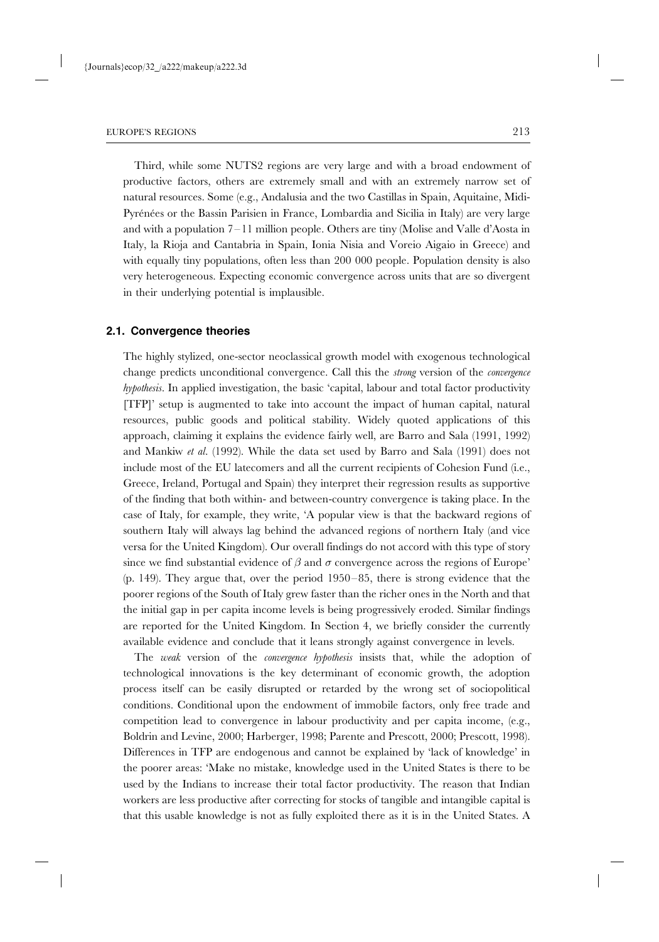Third, while some NUTS2 regions are very large and with a broad endowment of productive factors, others are extremely small and with an extremely narrow set of natural resources. Some (e.g., Andalusia and the two Castillas in Spain, Aquitaine, Midi-Pyrénées or the Bassin Parisien in France, Lombardia and Sicilia in Italy) are very large and with a population  $7-11$  million people. Others are tiny (Molise and Valle d'Aosta in Italy, la Rioja and Cantabria in Spain, Ionia Nisia and Voreio Aigaio in Greece) and with equally tiny populations, often less than 200 000 people. Population density is also very heterogeneous. Expecting economic convergence across units that are so divergent in their underlying potential is implausible.

#### 2.1. Convergence theories

The highly stylized, one-sector neoclassical growth model with exogenous technological change predicts unconditional convergence. Call this the *strong* version of the *convergence hypothesis*. In applied investigation, the basic 'capital, labour and total factor productivity [TFP]' setup is augmented to take into account the impact of human capital, natural resources, public goods and political stability. Widely quoted applications of this approach, claiming it explains the evidence fairly well, are Barro and Sala (1991, 1992) and Mankiw et al. (1992). While the data set used by Barro and Sala (1991) does not include most of the EU latecomers and all the current recipients of Cohesion Fund (i.e., Greece, Ireland, Portugal and Spain) they interpret their regression results as supportive of the finding that both within- and between-country convergence is taking place. In the case of Italy, for example, they write, 'A popular view is that the backward regions of southern Italy will always lag behind the advanced regions of northern Italy (and vice versa for the United Kingdom). Our overall findings do not accord with this type of story since we find substantial evidence of  $\beta$  and  $\sigma$  convergence across the regions of Europe' (p. 149). They argue that, over the period  $1950-85$ , there is strong evidence that the poorer regions of the South of Italy grew faster than the richer ones in the North and that the initial gap in per capita income levels is being progressively eroded. Similar findings are reported for the United Kingdom. In Section 4, we briefly consider the currently available evidence and conclude that it leans strongly against convergence in levels.

The weak version of the convergence hypothesis insists that, while the adoption of technological innovations is the key determinant of economic growth, the adoption process itself can be easily disrupted or retarded by the wrong set of sociopolitical conditions. Conditional upon the endowment of immobile factors, only free trade and competition lead to convergence in labour productivity and per capita income, (e.g., Boldrin and Levine, 2000; Harberger, 1998; Parente and Prescott, 2000; Prescott, 1998). Differences in TFP are endogenous and cannot be explained by 'lack of knowledge' in the poorer areas: 'Make no mistake, knowledge used in the United States is there to be used by the Indians to increase their total factor productivity. The reason that Indian workers are less productive after correcting for stocks of tangible and intangible capital is that this usable knowledge is not as fully exploited there as it is in the United States. A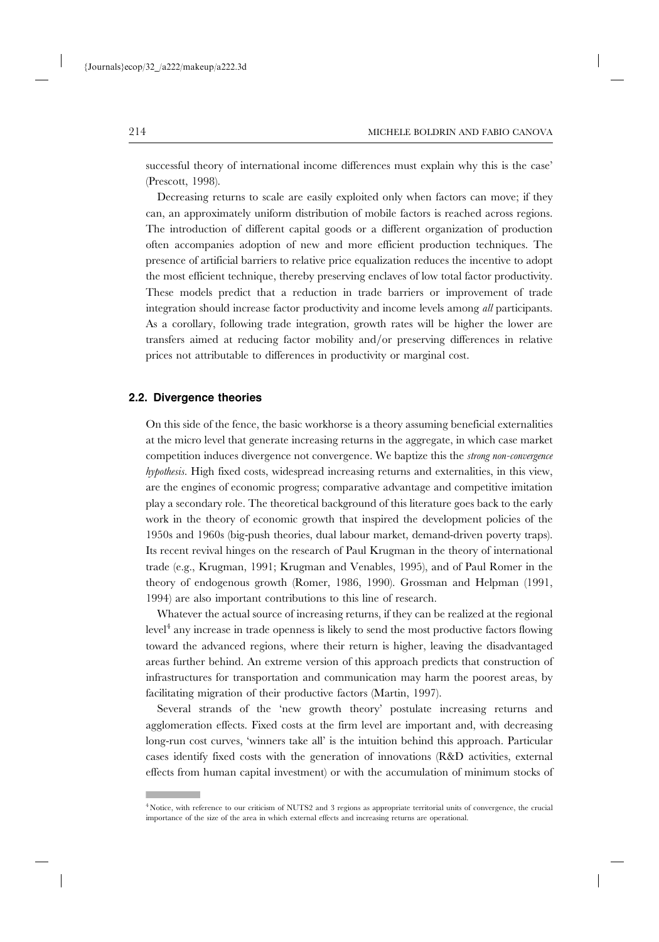successful theory of international income differences must explain why this is the case' (Prescott, 1998).

Decreasing returns to scale are easily exploited only when factors can move; if they can, an approximately uniform distribution of mobile factors is reached across regions. The introduction of different capital goods or a different organization of production often accompanies adoption of new and more efficient production techniques. The presence of artificial barriers to relative price equalization reduces the incentive to adopt the most efficient technique, thereby preserving enclaves of low total factor productivity. These models predict that a reduction in trade barriers or improvement of trade integration should increase factor productivity and income levels among all participants. As a corollary, following trade integration, growth rates will be higher the lower are transfers aimed at reducing factor mobility and/or preserving differences in relative prices not attributable to differences in productivity or marginal cost.

#### 2.2. Divergence theories

On this side of the fence, the basic workhorse is a theory assuming beneficial externalities at the micro level that generate increasing returns in the aggregate, in which case market competition induces divergence not convergence. We baptize this the *strong non-convergence* hypothesis. High fixed costs, widespread increasing returns and externalities, in this view, are the engines of economic progress; comparative advantage and competitive imitation play a secondary role. The theoretical background of this literature goes back to the early work in the theory of economic growth that inspired the development policies of the 1950s and 1960s (big-push theories, dual labour market, demand-driven poverty traps). Its recent revival hinges on the research of Paul Krugman in the theory of international trade (e.g., Krugman, 1991; Krugman and Venables, 1995), and of Paul Romer in the theory of endogenous growth (Romer, 1986, 1990). Grossman and Helpman (1991, 1994) are also important contributions to this line of research.

Whatever the actual source of increasing returns, if they can be realized at the regional  $level<sup>4</sup>$  any increase in trade openness is likely to send the most productive factors flowing toward the advanced regions, where their return is higher, leaving the disadvantaged areas further behind. An extreme version of this approach predicts that construction of infrastructures for transportation and communication may harm the poorest areas, by facilitating migration of their productive factors (Martin, 1997).

Several strands of the 'new growth theory' postulate increasing returns and agglomeration effects. Fixed costs at the firm level are important and, with decreasing long-run cost curves, 'winners take all' is the intuition behind this approach. Particular cases identify fixed costs with the generation of innovations (R&D activities, external effects from human capital investment) or with the accumulation of minimum stocks of

<sup>&</sup>lt;sup>4</sup> Notice, with reference to our criticism of NUTS2 and 3 regions as appropriate territorial units of convergence, the crucial importance of the size of the area in which external effects and increasing returns are operational.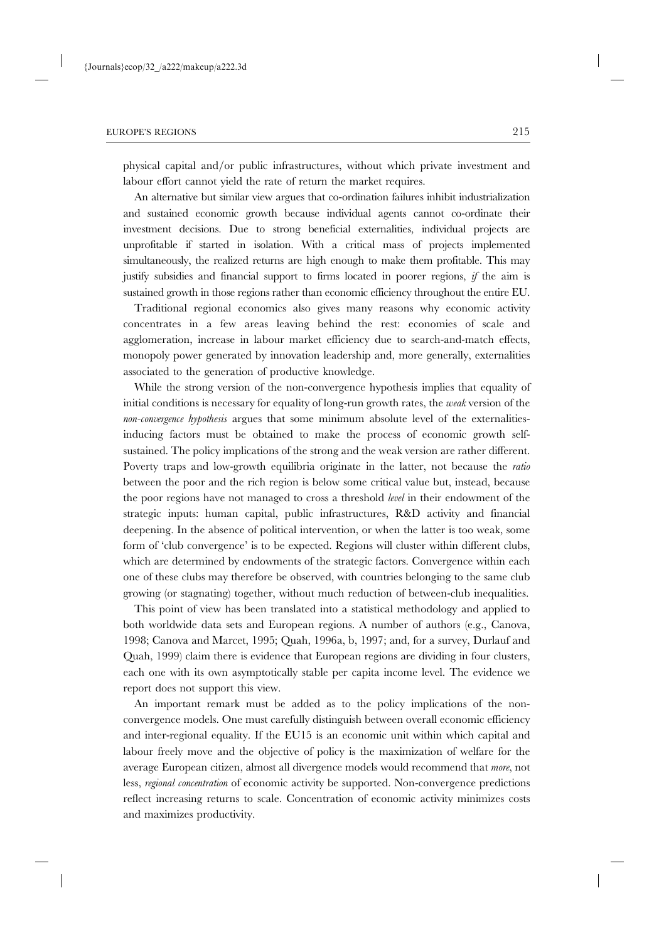An alternative but similar view argues that co-ordination failures inhibit industrialization and sustained economic growth because individual agents cannot co-ordinate their investment decisions. Due to strong beneficial externalities, individual projects are unprofitable if started in isolation. With a critical mass of projects implemented simultaneously, the realized returns are high enough to make them profitable. This may justify subsidies and financial support to firms located in poorer regions,  $if$  the aim is sustained growth in those regions rather than economic efficiency throughout the entire EU.

Traditional regional economics also gives many reasons why economic activity concentrates in a few areas leaving behind the rest: economies of scale and agglomeration, increase in labour market efficiency due to search-and-match effects, monopoly power generated by innovation leadership and, more generally, externalities associated to the generation of productive knowledge.

While the strong version of the non-convergence hypothesis implies that equality of initial conditions is necessary for equality of long-run growth rates, the weak version of the non-convergence hypothesis argues that some minimum absolute level of the externalitiesinducing factors must be obtained to make the process of economic growth selfsustained. The policy implications of the strong and the weak version are rather different. Poverty traps and low-growth equilibria originate in the latter, not because the ratio between the poor and the rich region is below some critical value but, instead, because the poor regions have not managed to cross a threshold level in their endowment of the strategic inputs: human capital, public infrastructures, R&D activity and financial deepening. In the absence of political intervention, or when the latter is too weak, some form of 'club convergence' is to be expected. Regions will cluster within different clubs, which are determined by endowments of the strategic factors. Convergence within each one of these clubs may therefore be observed, with countries belonging to the same club growing (or stagnating) together, without much reduction of between-club inequalities.

This point of view has been translated into a statistical methodology and applied to both worldwide data sets and European regions. A number of authors (e.g., Canova, 1998; Canova and Marcet, 1995; Quah, 1996a, b, 1997; and, for a survey, Durlauf and Quah, 1999) claim there is evidence that European regions are dividing in four clusters, each one with its own asymptotically stable per capita income level. The evidence we report does not support this view.

An important remark must be added as to the policy implications of the nonconvergence models. One must carefully distinguish between overall economic efficiency and inter-regional equality. If the EU15 is an economic unit within which capital and labour freely move and the objective of policy is the maximization of welfare for the average European citizen, almost all divergence models would recommend that more, not less, regional concentration of economic activity be supported. Non-convergence predictions reflect increasing returns to scale. Concentration of economic activity minimizes costs and maximizes productivity.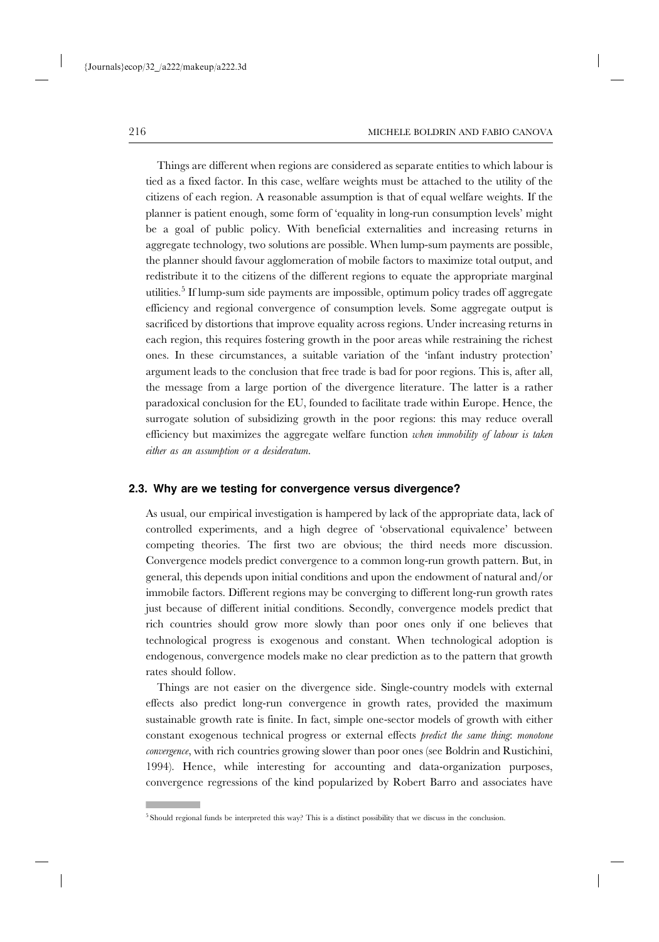Things are different when regions are considered as separate entities to which labour is tied as a fixed factor. In this case, welfare weights must be attached to the utility of the citizens of each region. A reasonable assumption is that of equal welfare weights. If the planner is patient enough, some form of 'equality in long-run consumption levels' might be a goal of public policy. With beneficial externalities and increasing returns in aggregate technology, two solutions are possible. When lump-sum payments are possible, the planner should favour agglomeration of mobile factors to maximize total output, and redistribute it to the citizens of the different regions to equate the appropriate marginal utilities.<sup>5</sup> If lump-sum side payments are impossible, optimum policy trades off aggregate efficiency and regional convergence of consumption levels. Some aggregate output is sacrificed by distortions that improve equality across regions. Under increasing returns in each region, this requires fostering growth in the poor areas while restraining the richest ones. In these circumstances, a suitable variation of the 'infant industry protection' argument leads to the conclusion that free trade is bad for poor regions. This is, after all, the message from a large portion of the divergence literature. The latter is a rather paradoxical conclusion for the EU, founded to facilitate trade within Europe. Hence, the surrogate solution of subsidizing growth in the poor regions: this may reduce overall efficiency but maximizes the aggregate welfare function when immobility of labour is taken either as an assumption or a desideratum.

## 2.3. Why are we testing for convergence versus divergence?

As usual, our empirical investigation is hampered by lack of the appropriate data, lack of controlled experiments, and a high degree of 'observational equivalence' between competing theories. The first two are obvious; the third needs more discussion. Convergence models predict convergence to a common long-run growth pattern. But, in general, this depends upon initial conditions and upon the endowment of natural and/or immobile factors. Different regions may be converging to different long-run growth rates just because of different initial conditions. Secondly, convergence models predict that rich countries should grow more slowly than poor ones only if one believes that technological progress is exogenous and constant. When technological adoption is endogenous, convergence models make no clear prediction as to the pattern that growth rates should follow.

Things are not easier on the divergence side. Single-country models with external effects also predict long-run convergence in growth rates, provided the maximum sustainable growth rate is finite. In fact, simple one-sector models of growth with either constant exogenous technical progress or external effects *predict the same thing: monotone* convergence, with rich countries growing slower than poor ones (see Boldrin and Rustichini, 1994). Hence, while interesting for accounting and data-organization purposes, convergence regressions of the kind popularized by Robert Barro and associates have

 $5$  Should regional funds be interpreted this way? This is a distinct possibility that we discuss in the conclusion.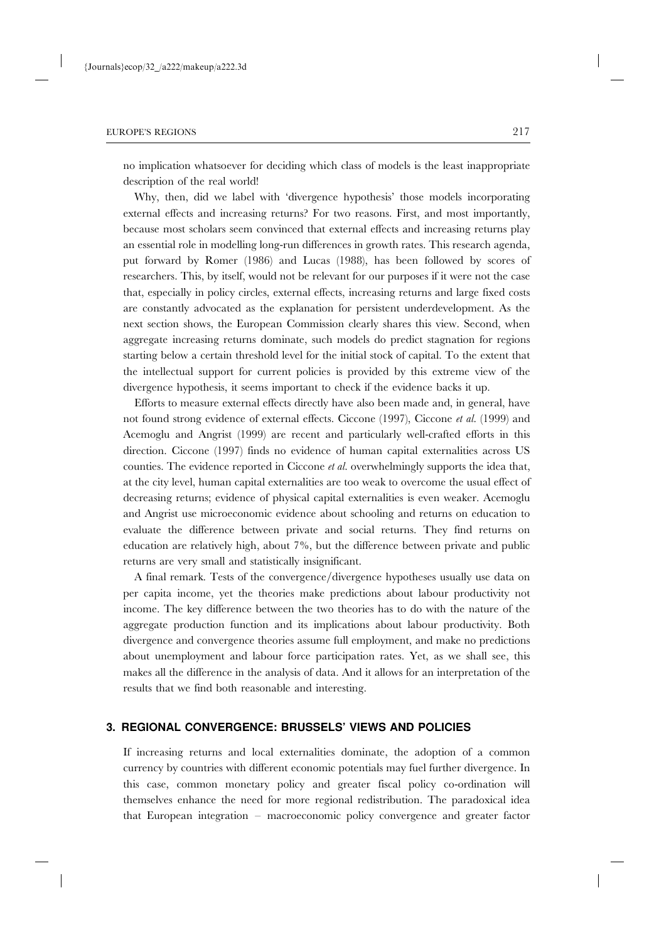no implication whatsoever for deciding which class of models is the least inappropriate description of the real world!

Why, then, did we label with 'divergence hypothesis' those models incorporating external effects and increasing returns? For two reasons. First, and most importantly, because most scholars seem convinced that external effects and increasing returns play an essential role in modelling long-run differences in growth rates. This research agenda, put forward by Romer (1986) and Lucas (1988), has been followed by scores of researchers. This, by itself, would not be relevant for our purposes if it were not the case that, especially in policy circles, external effects, increasing returns and large fixed costs are constantly advocated as the explanation for persistent underdevelopment. As the next section shows, the European Commission clearly shares this view. Second, when aggregate increasing returns dominate, such models do predict stagnation for regions starting below a certain threshold level for the initial stock of capital. To the extent that the intellectual support for current policies is provided by this extreme view of the divergence hypothesis, it seems important to check if the evidence backs it up.

Efforts to measure external effects directly have also been made and, in general, have not found strong evidence of external effects. Ciccone (1997), Ciccone et al. (1999) and Acemoglu and Angrist (1999) are recent and particularly well-crafted efforts in this direction. Ciccone (1997) finds no evidence of human capital externalities across US counties. The evidence reported in Ciccone *et al.* overwhelmingly supports the idea that, at the city level, human capital externalities are too weak to overcome the usual effect of decreasing returns; evidence of physical capital externalities is even weaker. Acemoglu and Angrist use microeconomic evidence about schooling and returns on education to evaluate the difference between private and social returns. They find returns on education are relatively high, about 7%, but the difference between private and public returns are very small and statistically insignificant.

A final remark. Tests of the convergence/divergence hypotheses usually use data on per capita income, yet the theories make predictions about labour productivity not income. The key difference between the two theories has to do with the nature of the aggregate production function and its implications about labour productivity. Both divergence and convergence theories assume full employment, and make no predictions about unemployment and labour force participation rates. Yet, as we shall see, this makes all the difference in the analysis of data. And it allows for an interpretation of the results that we find both reasonable and interesting.

#### **3. REGIONAL CONVERGENCE: BRUSSELS' VIEWS AND POLICIES**

If increasing returns and local externalities dominate, the adoption of a common currency by countries with different economic potentials may fuel further divergence. In this case, common monetary policy and greater fiscal policy co-ordination will themselves enhance the need for more regional redistribution. The paradoxical idea that European integration – macroeconomic policy convergence and greater factor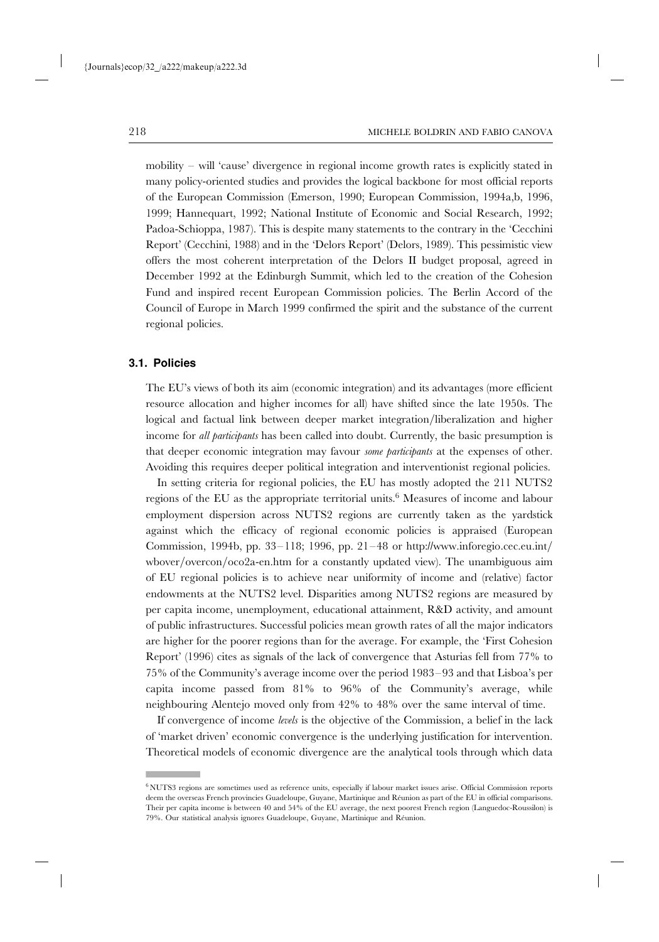mobility – will 'cause' divergence in regional income growth rates is explicitly stated in many policy-oriented studies and provides the logical backbone for most official reports of the European Commission (Emerson, 1990; European Commission, 1994a,b, 1996, 1999; Hannequart, 1992; National Institute of Economic and Social Research, 1992; Padoa-Schioppa, 1987). This is despite many statements to the contrary in the 'Cecchini Report' (Cecchini, 1988) and in the 'Delors Report' (Delors, 1989). This pessimistic view offers the most coherent interpretation of the Delors II budget proposal, agreed in December 1992 at the Edinburgh Summit, which led to the creation of the Cohesion Fund and inspired recent European Commission policies. The Berlin Accord of the Council of Europe in March 1999 confirmed the spirit and the substance of the current regional policies.

## 3.1. Policies

The EU's views of both its aim (economic integration) and its advantages (more efficient resource allocation and higher incomes for all) have shifted since the late 1950s. The logical and factual link between deeper market integration/liberalization and higher income for *all participants* has been called into doubt. Currently, the basic presumption is that deeper economic integration may favour *some participants* at the expenses of other. Avoiding this requires deeper political integration and interventionist regional policies.

In setting criteria for regional policies, the EU has mostly adopted the 211 NUTS2 regions of the EU as the appropriate territorial units.<sup>6</sup> Measures of income and labour employment dispersion across NUTS2 regions are currently taken as the yardstick against which the efficacy of regional economic policies is appraised (European Commission, 1994b, pp. 33–118; 1996, pp. 21–48 or http://www.inforegio.cec.eu.int/ wbover/overcon/oco2a-en.htm for a constantly updated view). The unambiguous aim of EU regional policies is to achieve near uniformity of income and (relative) factor endowments at the NUTS2 level. Disparities among NUTS2 regions are measured by per capita income, unemployment, educational attainment, R&D activity, and amount of public infrastructures. Successful policies mean growth rates of all the major indicators are higher for the poorer regions than for the average. For example, the 'First Cohesion Report' (1996) cites as signals of the lack of convergence that Asturias fell from 77% to 75% of the Community's average income over the period 1983–93 and that Lisboa's per capita income passed from 81% to 96% of the Community's average, while neighbouring Alentejo moved only from 42% to 48% over the same interval of time.

If convergence of income levels is the objective of the Commission, a belief in the lack of 'market driven' economic convergence is the underlying justification for intervention. Theoretical models of economic divergence are the analytical tools through which data

 $^6$  NUTS3 regions are sometimes used as reference units, especially if labour market issues arise. Official Commission reports deem the overseas French provincies Guadeloupe, Guyane, Martinique and Réunion as part of the EU in official comparisons. Their per capita income is between 40 and 54% of the EU average, the next poorest French region (Languedoc-Roussilon) is 79%. Our statistical analysis ignores Guadeloupe, Guyane, Martinique and Réunion.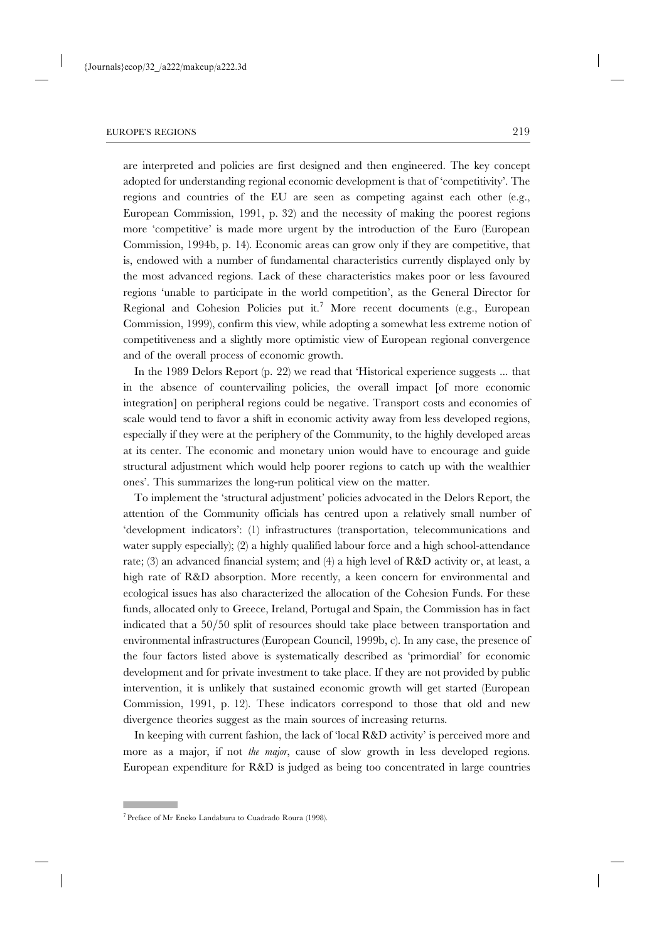are interpreted and policies are first designed and then engineered. The key concept adopted for understanding regional economic development is that of 'competitivity'. The regions and countries of the EU are seen as competing against each other (e.g., European Commission, 1991, p. 32) and the necessity of making the poorest regions more 'competitive' is made more urgent by the introduction of the Euro (European Commission, 1994b, p. 14). Economic areas can grow only if they are competitive, that is, endowed with a number of fundamental characteristics currently displayed only by the most advanced regions. Lack of these characteristics makes poor or less favoured regions 'unable to participate in the world competition', as the General Director for Regional and Cohesion Policies put it.<sup>7</sup> More recent documents (e.g., European Commission, 1999), confirm this view, while adopting a somewhat less extreme notion of competitiveness and a slightly more optimistic view of European regional convergence and of the overall process of economic growth.

In the 1989 Delors Report (p. 22) we read that 'Historical experience suggests ... that in the absence of countervailing policies, the overall impact [of more economic integration] on peripheral regions could be negative. Transport costs and economies of scale would tend to favor a shift in economic activity away from less developed regions, especially if they were at the periphery of the Community, to the highly developed areas at its center. The economic and monetary union would have to encourage and guide structural adjustment which would help poorer regions to catch up with the wealthier ones'. This summarizes the long-run political view on the matter.

To implement the 'structural adjustment' policies advocated in the Delors Report, the attention of the Community officials has centred upon a relatively small number of 'development indicators': (1) infrastructures (transportation, telecommunications and water supply especially); (2) a highly qualified labour force and a high school-attendance rate; (3) an advanced financial system; and (4) a high level of R&D activity or, at least, a high rate of R&D absorption. More recently, a keen concern for environmental and ecological issues has also characterized the allocation of the Cohesion Funds. For these funds, allocated only to Greece, Ireland, Portugal and Spain, the Commission has in fact indicated that a 50/50 split of resources should take place between transportation and environmental infrastructures (European Council, 1999b, c). In any case, the presence of the four factors listed above is systematically described as 'primordial' for economic development and for private investment to take place. If they are not provided by public intervention, it is unlikely that sustained economic growth will get started (European Commission, 1991, p. 12). These indicators correspond to those that old and new divergence theories suggest as the main sources of increasing returns.

In keeping with current fashion, the lack of 'local R&D activity' is perceived more and more as a major, if not the major, cause of slow growth in less developed regions. European expenditure for R&D is judged as being too concentrated in large countries

<sup>&</sup>lt;sup>7</sup> Preface of Mr Eneko Landaburu to Cuadrado Roura (1998).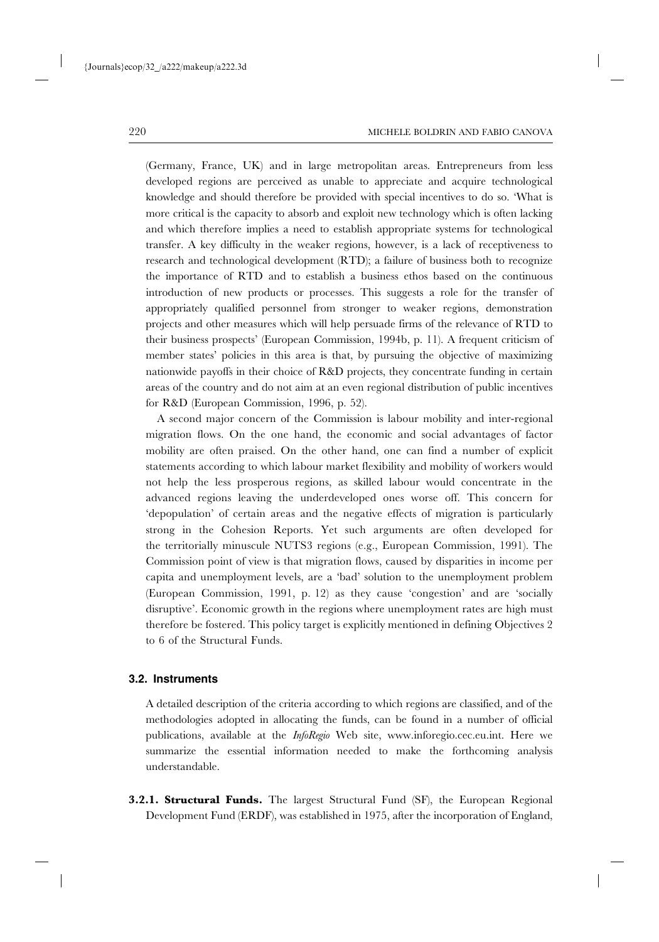(Germany, France, UK) and in large metropolitan areas. Entrepreneurs from less developed regions are perceived as unable to appreciate and acquire technological knowledge and should therefore be provided with special incentives to do so. What is more critical is the capacity to absorb and exploit new technology which is often lacking and which therefore implies a need to establish appropriate systems for technological transfer. A key difficulty in the weaker regions, however, is a lack of receptiveness to research and technological development (RTD); a failure of business both to recognize the importance of RTD and to establish a business ethos based on the continuous introduction of new products or processes. This suggests a role for the transfer of appropriately qualified personnel from stronger to weaker regions, demonstration projects and other measures which will help persuade firms of the relevance of RTD to their business prospects' (European Commission, 1994b, p. 11). A frequent criticism of member states' policies in this area is that, by pursuing the objective of maximizing nationwide payoffs in their choice of R&D projects, they concentrate funding in certain areas of the country and do not aim at an even regional distribution of public incentives for R&D (European Commission, 1996, p. 52).

A second major concern of the Commission is labour mobility and inter-regional migration flows. On the one hand, the economic and social advantages of factor mobility are often praised. On the other hand, one can find a number of explicit statements according to which labour market flexibility and mobility of workers would not help the less prosperous regions, as skilled labour would concentrate in the advanced regions leaving the underdeveloped ones worse off. This concern for 'depopulation' of certain areas and the negative effects of migration is particularly strong in the Cohesion Reports. Yet such arguments are often developed for the territorially minuscule NUTS3 regions (e.g., European Commission, 1991). The Commission point of view is that migration flows, caused by disparities in income per capita and unemployment levels, are a 'bad' solution to the unemployment problem (European Commission, 1991, p. 12) as they cause 'congestion' and are 'socially disruptive'. Economic growth in the regions where unemployment rates are high must therefore be fostered. This policy target is explicitly mentioned in defining Objectives 2 to 6 of the Structural Funds.

## 3.2. Instruments

A detailed description of the criteria according to which regions are classified, and of the methodologies adopted in allocating the funds, can be found in a number of official publications, available at the *InfoRegio* Web site, www.inforegio.cec.eu.int. Here we summarize the essential information needed to make the forthcoming analysis understandable.

**3.2.1. Structural Funds.** The largest Structural Fund (SF), the European Regional Development Fund (ERDF), was established in 1975, after the incorporation of England,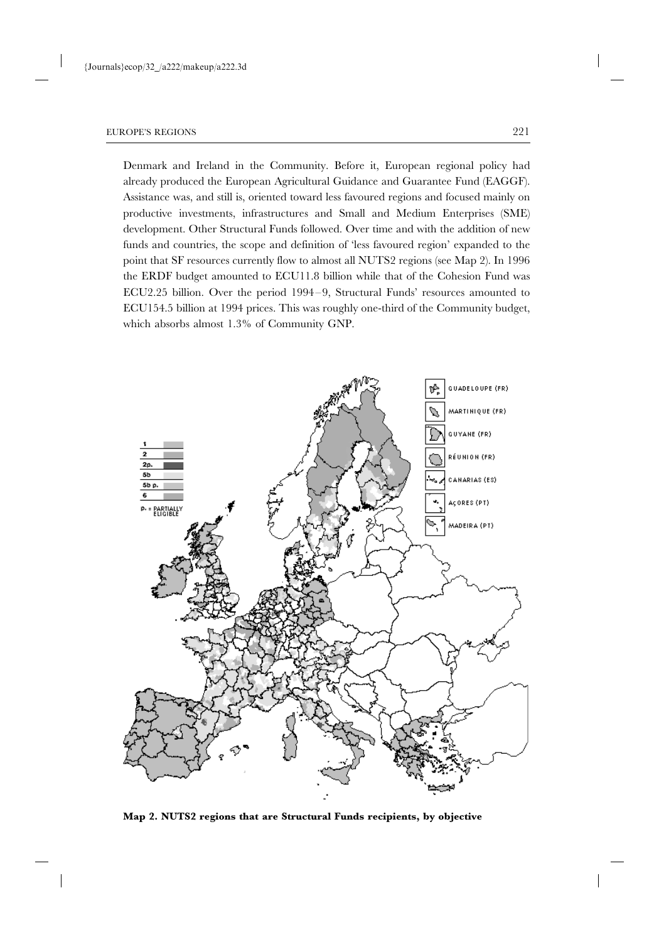Denmark and Ireland in the Community. Before it, European regional policy had already produced the European Agricultural Guidance and Guarantee Fund (EAGGF). Assistance was, and still is, oriented toward less favoured regions and focused mainly on productive investments, infrastructures and Small and Medium Enterprises (SME) development. Other Structural Funds followed. Over time and with the addition of new funds and countries, the scope and definition of 'less favoured region' expanded to the point that SF resources currently flow to almost all NUTS2 regions (see Map 2). In 1996 the ERDF budget amounted to ECU11.8 billion while that of the Cohesion Fund was ECU2.25 billion. Over the period 1994–9, Structural Funds' resources amounted to ECU154.5 billion at 1994 prices. This was roughly one-third of the Community budget, which absorbs almost 1.3% of Community GNP.



Map 2. NUTS2 regions that are Structural Funds recipients, by objective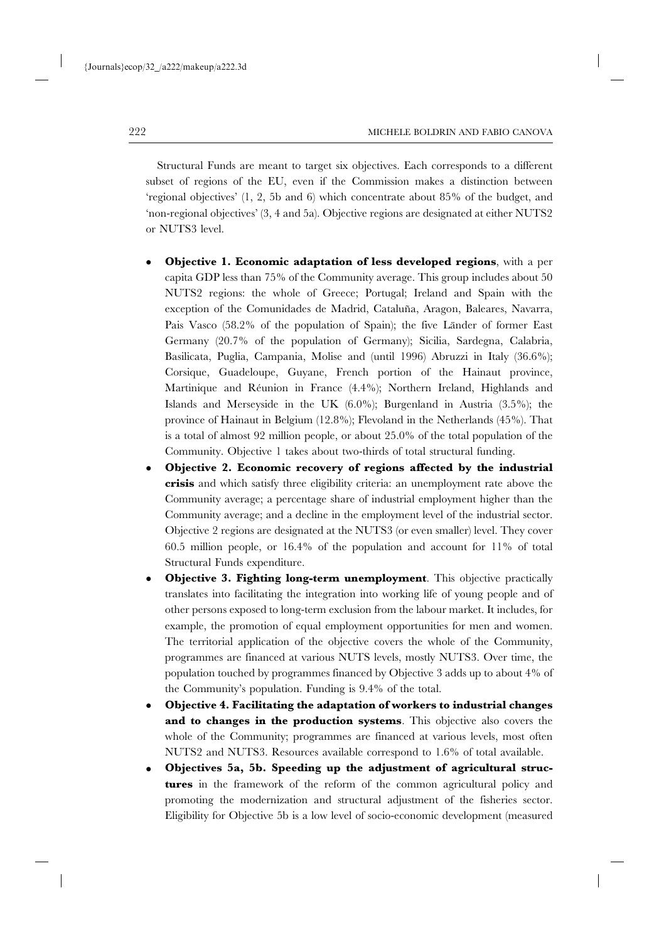Structural Funds are meant to target six objectives. Each corresponds to a different subset of regions of the EU, even if the Commission makes a distinction between 'regional objectives'  $(1, 2, 5b$  and 6) which concentrate about 85% of the budget, and 'non-regional objectives' (3, 4 and 5a). Objective regions are designated at either NUTS2 or NUTS3 level.

- **Objective 1. Economic adaptation of less developed regions**, with a per capita GDP less than 75% of the Community average. This group includes about 50 NUTS2 regions: the whole of Greece; Portugal; Ireland and Spain with the exception of the Comunidades de Madrid, Cataluña, Aragon, Baleares, Navarra, Pais Vasco (58.2% of the population of Spain); the five Länder of former East Germany (20.7% of the population of Germany); Sicilia, Sardegna, Calabria, Basilicata, Puglia, Campania, Molise and (until 1996) Abruzzi in Italy (36.6%); Corsique, Guadeloupe, Guyane, French portion of the Hainaut province, Martinique and Réunion in France (4.4%); Northern Ireland, Highlands and Islands and Merseyside in the UK  $(6.0\%)$ ; Burgenland in Austria  $(3.5\%)$ ; the province of Hainaut in Belgium (12.8%); Flevoland in the Netherlands (45%). That is a total of almost 92 million people, or about  $25.0\%$  of the total population of the Community. Objective 1 takes about two-thirds of total structural funding.
- Objective 2. Economic recovery of regions affected by the industrial **crisis** and which satisfy three eligibility criteria: an unemployment rate above the Community average; a percentage share of industrial employment higher than the Community average; and a decline in the employment level of the industrial sector. Objective 2 regions are designated at the NUTS3 (or even smaller) level. They cover 60.5 million people, or  $16.4\%$  of the population and account for 11% of total Structural Funds expenditure.
- Objective 3. Fighting long-term unemployment. This objective practically translates into facilitating the integration into working life of young people and of other persons exposed to long-term exclusion from the labour market. It includes, for example, the promotion of equal employment opportunities for men and women. The territorial application of the objective covers the whole of the Community, programmes are financed at various NUTS levels, mostly NUTS3. Over time, the population touched by programmes financed by Objective 3 adds up to about 4% of the Community's population. Funding is 9.4% of the total.
- Objective 4. Facilitating the adaptation of workers to industrial changes and to changes in the production systems. This objective also covers the whole of the Community; programmes are financed at various levels, most often NUTS2 and NUTS3. Resources available correspond to 1.6% of total available.
- Objectives 5a, 5b. Speeding up the adjustment of agricultural structures in the framework of the reform of the common agricultural policy and promoting the modernization and structural adjustment of the fisheries sector. Eligibility for Objective 5b is a low level of socio-economic development (measured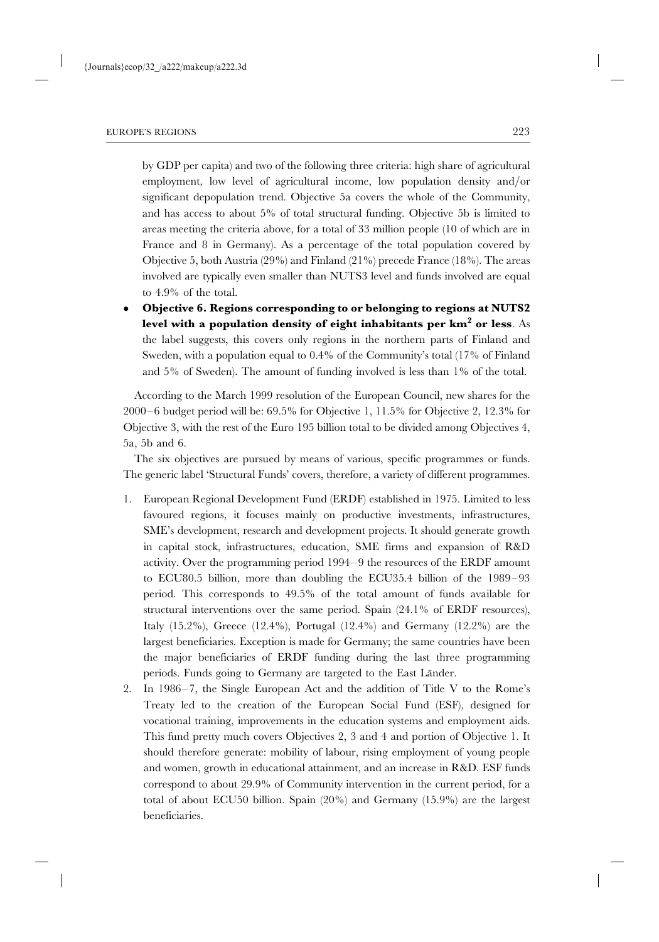by GDP per capita) and two of the following three criteria: high share of agricultural employment, low level of agricultural income, low population density and/or significant depopulation trend. Objective 5a covers the whole of the Community, and has access to about 5% of total structural funding. Objective 5b is limited to areas meeting the criteria above, for a total of 33 million people (10 of which are in France and 8 in Germany). As a percentage of the total population covered by Objective 5, both Austria (29%) and Finland (21%) precede France (18%). The areas involved are typically even smaller than NUTS3 level and funds involved are equal to 4.9% of the total.

Objective 6. Regions corresponding to or belonging to regions at NUTS2 level with a population density of eight inhabitants per  $km^2$  or less. As the label suggests, this covers only regions in the northern parts of Finland and Sweden, with a population equal to 0.4% of the Community's total (17% of Finland and 5% of Sweden). The amount of funding involved is less than 1% of the total.

According to the March 1999 resolution of the European Council, new shares for the 2000–6 budget period will be: 69.5% for Objective 1, 11.5% for Objective 2, 12.3% for Objective 3, with the rest of the Euro 195 billion total to be divided among Objectives 4, 5a, 5b and 6.

The six objectives are pursued by means of various, specific programmes or funds. The generic label 'Structural Funds' covers, therefore, a variety of different programmes.

- 1. European Regional Development Fund (ERDF) established in 1975. Limited to less favoured regions, it focuses mainly on productive investments, infrastructures, SME's development, research and development projects. It should generate growth in capital stock, infrastructures, education, SME firms and expansion of R&D activity. Over the programming period 1994–9 the resources of the ERDF amount to ECU80.5 billion, more than doubling the ECU35.4 billion of the 1989–93 period. This corresponds to 49.5% of the total amount of funds available for structural interventions over the same period. Spain (24.1% of ERDF resources), Italy  $(15.2\%)$ , Greece  $(12.4\%)$ , Portugal  $(12.4\%)$  and Germany  $(12.2\%)$  are the largest beneficiaries. Exception is made for Germany; the same countries have been the major beneficiaries of ERDF funding during the last three programming periods. Funds going to Germany are targeted to the East Länder.
- 2. In 1986–7, the Single European Act and the addition of Title V to the Rome's Treaty led to the creation of the European Social Fund (ESF), designed for vocational training, improvements in the education systems and employment aids. This fund pretty much covers Objectives 2, 3 and 4 and portion of Objective 1. It should therefore generate: mobility of labour, rising employment of young people and women, growth in educational attainment, and an increase in R&D. ESF funds correspond to about 29.9% of Community intervention in the current period, for a total of about ECU50 billion. Spain (20%) and Germany (15.9%) are the largest beneficiaries.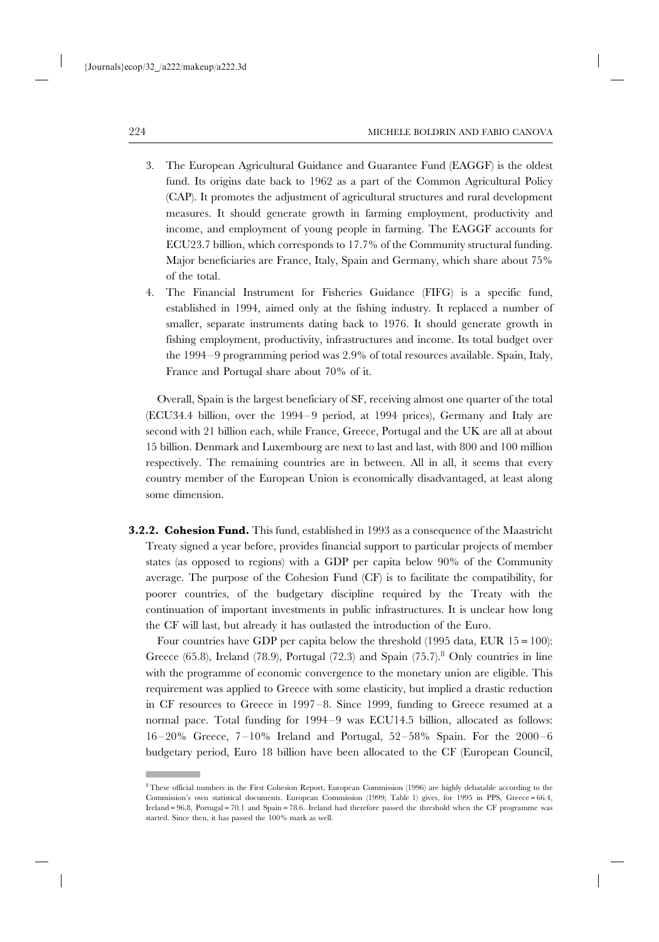- The European Agricultural Guidance and Guarantee Fund (EAGGF) is the oldest 3. fund. Its origins date back to 1962 as a part of the Common Agricultural Policy (CAP). It promotes the adjustment of agricultural structures and rural development measures. It should generate growth in farming employment, productivity and income, and employment of young people in farming. The EAGGF accounts for ECU23.7 billion, which corresponds to 17.7% of the Community structural funding. Major beneficiaries are France, Italy, Spain and Germany, which share about 75% of the total.
- 4. The Financial Instrument for Fisheries Guidance (FIFG) is a specific fund, established in 1994, aimed only at the fishing industry. It replaced a number of smaller, separate instruments dating back to 1976. It should generate growth in fishing employment, productivity, infrastructures and income. Its total budget over the 1994–9 programming period was  $2.9\%$  of total resources available. Spain, Italy, France and Portugal share about 70% of it.

Overall, Spain is the largest beneficiary of SF, receiving almost one quarter of the total (ECU34.4 billion, over the 1994-9 period, at 1994 prices), Germany and Italy are second with 21 billion each, while France, Greece, Portugal and the UK are all at about 15 billion. Denmark and Luxembourg are next to last and last, with 800 and 100 million respectively. The remaining countries are in between. All in all, it seems that every country member of the European Union is economically disadvantaged, at least along some dimension.

**3.2.2. Cohesion Fund.** This fund, established in 1993 as a consequence of the Maastricht Treaty signed a year before, provides financial support to particular projects of member states (as opposed to regions) with a GDP per capita below 90% of the Community average. The purpose of the Cohesion Fund (CF) is to facilitate the compatibility, for poorer countries, of the budgetary discipline required by the Treaty with the continuation of important investments in public infrastructures. It is unclear how long the CF will last, but already it has outlasted the introduction of the Euro.

Four countries have GDP per capita below the threshold (1995 data, EUR  $15 = 100$ ): Greece (65.8), Ireland (78.9), Portugal (72.3) and Spain (75.7). <sup>8</sup> Only countries in line with the programme of economic convergence to the monetary union are eligible. This requirement was applied to Greece with some elasticity, but implied a drastic reduction in CF resources to Greece in 1997–8. Since 1999, funding to Greece resumed at a normal pace. Total funding for 1994-9 was ECU14.5 billion, allocated as follows:  $16-20%$  Greece,  $7-10%$  Ireland and Portugal,  $52-58%$  Spain. For the  $2000-6$ budgetary period, Euro 18 billion have been allocated to the CF (European Council,

<sup>&</sup>lt;sup>8</sup>These official numbers in the First Cohesion Report, European Commission (1996) are highly debatable according to the Commission's own statistical documents. European Commission (1999; Table 1) gives, for 1995 in PPS, Greece = 66.4, Ireland = 96.8, Portugal = 70.1 and Spain = 78.6. Ireland had therefore passed the threshold when the CF programme was started. Since then, it has passed the 100% mark as well.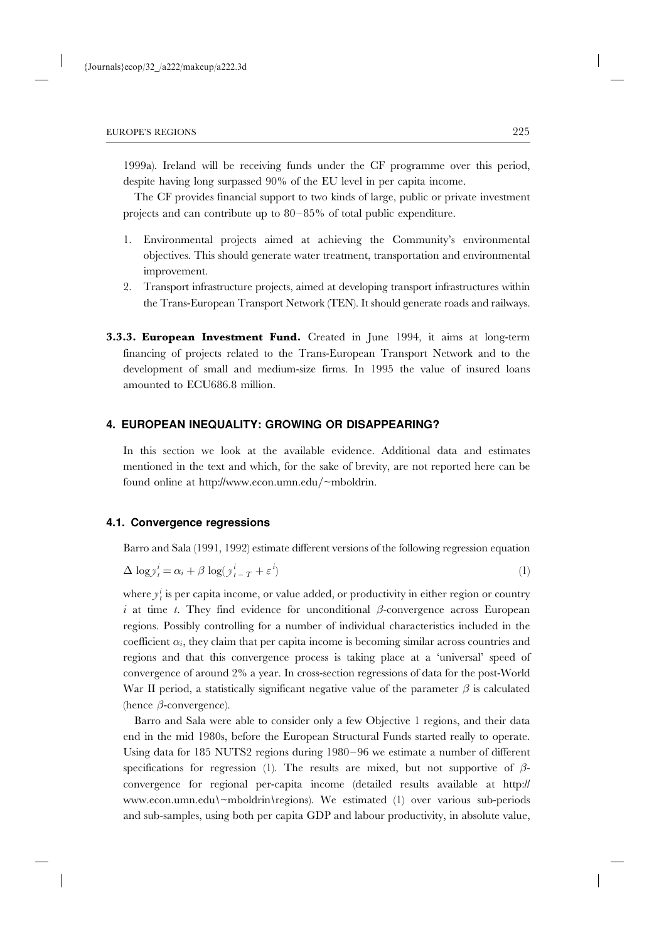1999a). Ireland will be receiving funds under the CF programme over this period, despite having long surpassed 90% of the EU level in per capita income.

The CF provides financial support to two kinds of large, public or private investment projects and can contribute up to  $80-85\%$  of total public expenditure.

- 1. Environmental projects aimed at achieving the Community's environmental objectives. This should generate water treatment, transportation and environmental improvement.
- 2. Transport infrastructure projects, aimed at developing transport infrastructures within the Trans-European Transport Network (TEN). It should generate roads and railways.
- 3.3.3. European Investment Fund. Created in June 1994, it aims at long-term financing of projects related to the Trans-European Transport Network and to the development of small and medium-size firms. In 1995 the value of insured loans amounted to ECU686.8 million.

## 4. EUROPEAN INEQUALITY: GROWING OR DISAPPEARING?

In this section we look at the available evidence. Additional data and estimates mentioned in the text and which, for the sake of brevity, are not reported here can be found online at http://www.econ.umn.edu/~mboldrin.

#### 4.1. Convergence regressions

Barro and Sala (1991, 1992) estimate different versions of the following regression equation

$$
\Delta \log y_t^i = \alpha_i + \beta \log(y_{t-\tau}^i + \varepsilon^i) \tag{1}
$$

where  $y_i^i$  is per capita income, or value added, or productivity in either region or country i at time t. They find evidence for unconditional  $\beta$ -convergence across European regions. Possibly controlling for a number of individual characteristics included in the coefficient  $\alpha_i$ , they claim that per capita income is becoming similar across countries and regions and that this convergence process is taking place at a 'universal' speed of convergence of around 2% a year. In cross-section regressions of data for the post-World War II period, a statistically significant negative value of the parameter  $\beta$  is calculated (hence  $\beta$ -convergence).

Barro and Sala were able to consider only a few Objective 1 regions, and their data end in the mid 1980s, before the European Structural Funds started really to operate. Using data for 185 NUTS2 regions during 1980–96 we estimate a number of different specifications for regression (1). The results are mixed, but not supportive of  $\beta$ convergence for regional per-capita income (detailed results available at http:// www.econ.umn.edu\~mboldrin\regions). We estimated (1) over various sub-periods and sub-samples, using both per capita GDP and labour productivity, in absolute value,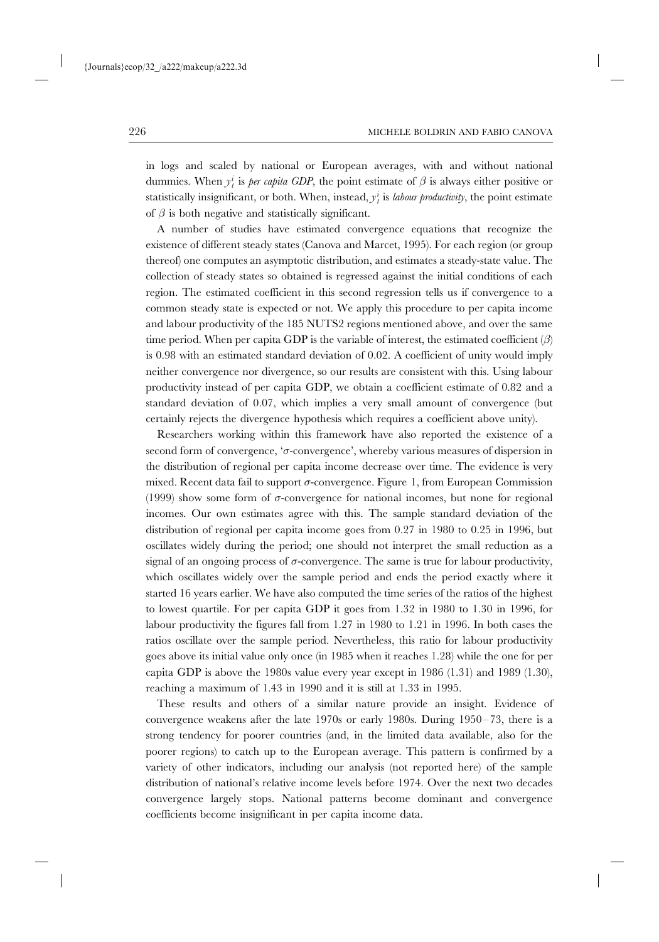in logs and scaled by national or European averages, with and without national dummies. When  $y_t^i$  is *per capita GDP*, the point estimate of  $\beta$  is always either positive or statistically insignificant, or both. When, instead,  $y_i^i$  is *labour productivity*, the point estimate of  $\beta$  is both negative and statistically significant.

A number of studies have estimated convergence equations that recognize the existence of different steady states (Canova and Marcet, 1995). For each region (or group thereof) one computes an asymptotic distribution, and estimates a steady-state value. The collection of steady states so obtained is regressed against the initial conditions of each region. The estimated coefficient in this second regression tells us if convergence to a common steady state is expected or not. We apply this procedure to per capita income and labour productivity of the 185 NUTS2 regions mentioned above, and over the same time period. When per capita GDP is the variable of interest, the estimated coefficient  $(\beta)$ is 0.98 with an estimated standard deviation of 0.02. A coefficient of unity would imply neither convergence nor divergence, so our results are consistent with this. Using labour productivity instead of per capita GDP, we obtain a coefficient estimate of 0.82 and a standard deviation of 0.07, which implies a very small amount of convergence (but certainly rejects the divergence hypothesis which requires a coefficient above unity).

Researchers working within this framework have also reported the existence of a second form of convergence, ' $\sigma$ -convergence', whereby various measures of dispersion in the distribution of regional per capita income decrease over time. The evidence is very mixed. Recent data fail to support  $\sigma$ -convergence. Figure 1, from European Commission (1999) show some form of  $\sigma$ -convergence for national incomes, but none for regional incomes. Our own estimates agree with this. The sample standard deviation of the distribution of regional per capita income goes from  $0.27$  in 1980 to  $0.25$  in 1996, but oscillates widely during the period; one should not interpret the small reduction as a signal of an ongoing process of  $\sigma$ -convergence. The same is true for labour productivity, which oscillates widely over the sample period and ends the period exactly where it started 16 years earlier. We have also computed the time series of the ratios of the highest to lowest quartile. For per capita GDP it goes from 1.32 in 1980 to 1.30 in 1996, for labour productivity the figures fall from 1.27 in 1980 to 1.21 in 1996. In both cases the ratios oscillate over the sample period. Nevertheless, this ratio for labour productivity goes above its initial value only once (in 1985 when it reaches 1.28) while the one for per capita GDP is above the 1980s value every year except in 1986  $(1.31)$  and 1989  $(1.30)$ , reaching a maximum of 1.43 in 1990 and it is still at 1.33 in 1995.

These results and others of a similar nature provide an insight. Evidence of convergence weakens after the late 1970s or early 1980s. During 1950–73, there is a strong tendency for poorer countries (and, in the limited data available, also for the poorer regions) to catch up to the European average. This pattern is confirmed by a variety of other indicators, including our analysis (not reported here) of the sample distribution of national's relative income levels before 1974. Over the next two decades convergence largely stops. National patterns become dominant and convergence coefficients become insignificant in per capita income data.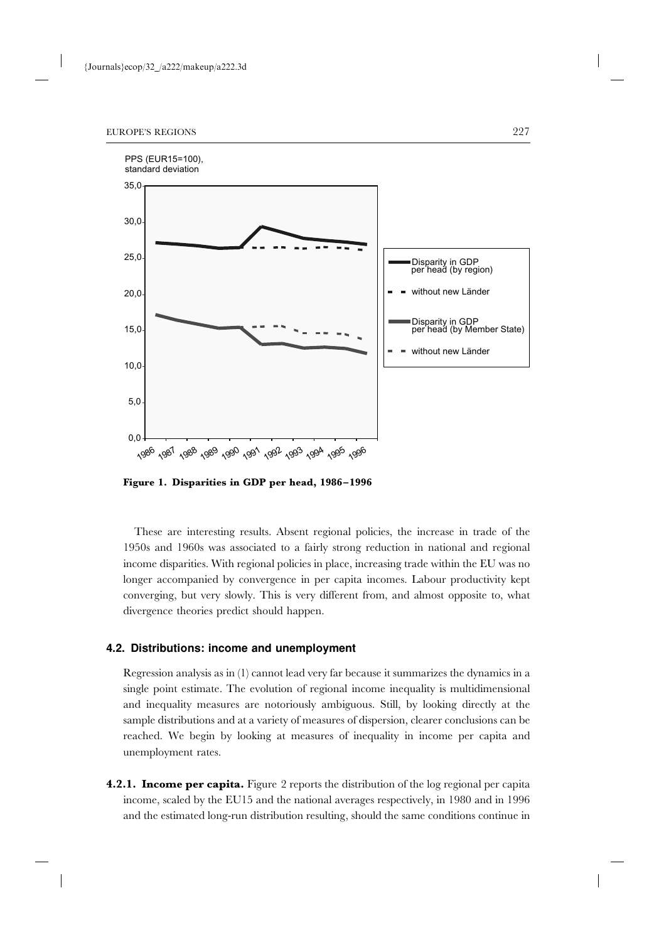

Figure 1. Disparities in GDP per head, 1986-1996

These are interesting results. Absent regional policies, the increase in trade of the 1950s and 1960s was associated to a fairly strong reduction in national and regional income disparities. With regional policies in place, increasing trade within the EU was no longer accompanied by convergence in per capita incomes. Labour productivity kept converging, but very slowly. This is very different from, and almost opposite to, what divergence theories predict should happen.

#### 4.2. Distributions: income and unemployment

Regression analysis as in  $(1)$  cannot lead very far because it summarizes the dynamics in a single point estimate. The evolution of regional income inequality is multidimensional and inequality measures are notoriously ambiguous. Still, by looking directly at the sample distributions and at a variety of measures of dispersion, clearer conclusions can be reached. We begin by looking at measures of inequality in income per capita and unemployment rates.

**4.2.1. Income per capita.** Figure 2 reports the distribution of the log regional per capita income, scaled by the EU15 and the national averages respectively, in 1980 and in 1996 and the estimated long-run distribution resulting, should the same conditions continue in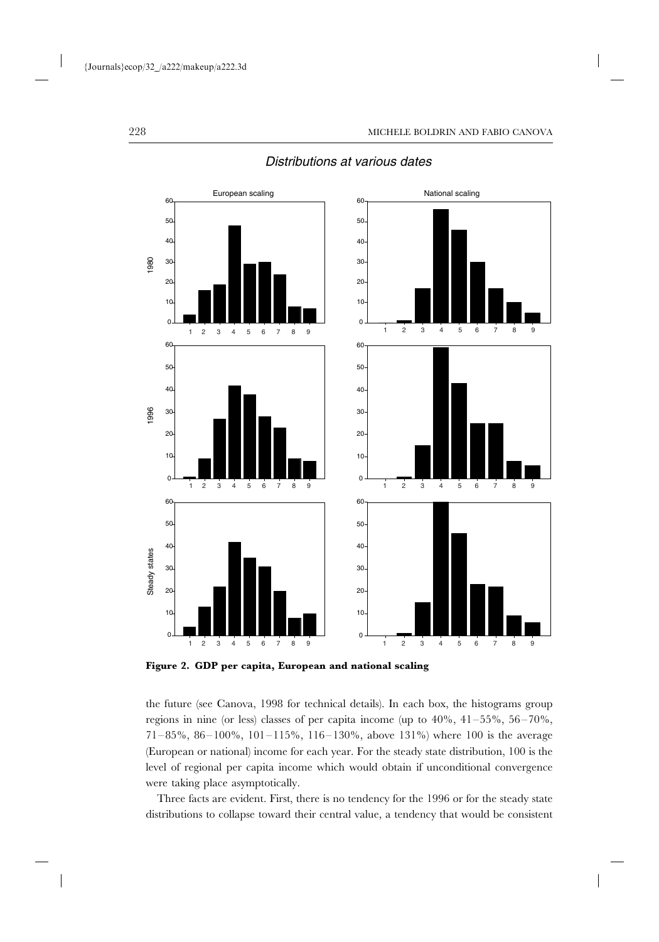

## Distributions at various dates

Figure 2. GDP per capita, European and national scaling

the future (see Canova, 1998 for technical details). In each box, the histograms group regions in nine (or less) classes of per capita income (up to  $40\%$ ,  $41-55\%$ ,  $56-70\%$ ,  $71-85\%$ ,  $86-100\%$ ,  $101-115\%$ ,  $116-130\%$ , above  $131\%$ ) where 100 is the average (European or national) income for each year. For the steady state distribution, 100 is the level of regional per capita income which would obtain if unconditional convergence were taking place asymptotically.

Three facts are evident. First, there is no tendency for the 1996 or for the steady state distributions to collapse toward their central value, a tendency that would be consistent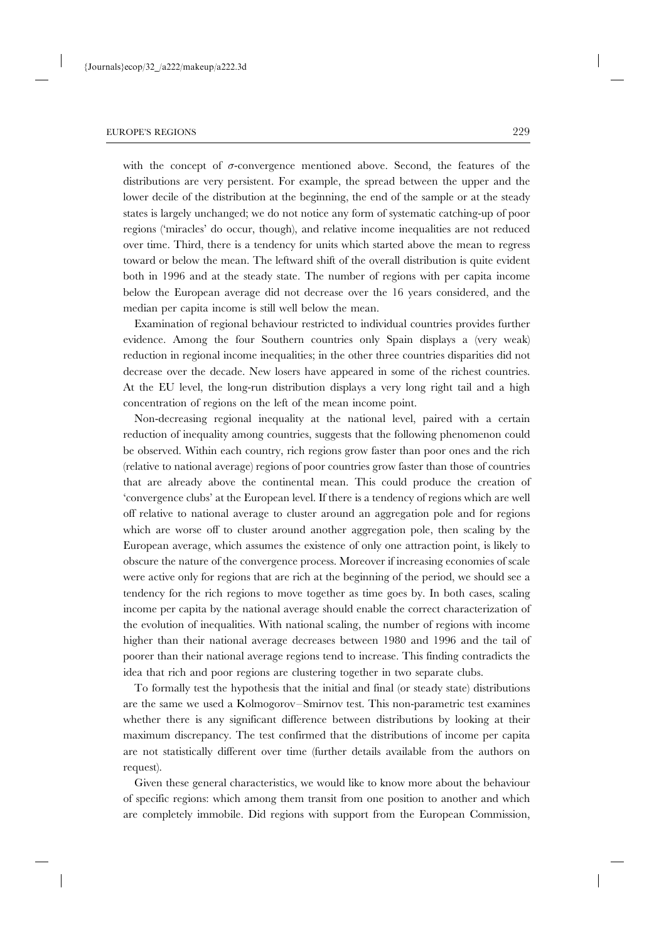with the concept of  $\sigma$ -convergence mentioned above. Second, the features of the distributions are very persistent. For example, the spread between the upper and the lower decile of the distribution at the beginning, the end of the sample or at the steady states is largely unchanged; we do not notice any form of systematic catching-up of poor regions ('miracles' do occur, though), and relative income inequalities are not reduced over time. Third, there is a tendency for units which started above the mean to regress toward or below the mean. The leftward shift of the overall distribution is quite evident both in 1996 and at the steady state. The number of regions with per capita income below the European average did not decrease over the 16 years considered, and the median per capita income is still well below the mean.

Examination of regional behaviour restricted to individual countries provides further evidence. Among the four Southern countries only Spain displays a (very weak) reduction in regional income inequalities; in the other three countries disparities did not decrease over the decade. New losers have appeared in some of the richest countries. At the EU level, the long-run distribution displays a very long right tail and a high concentration of regions on the left of the mean income point.

Non-decreasing regional inequality at the national level, paired with a certain reduction of inequality among countries, suggests that the following phenomenon could be observed. Within each country, rich regions grow faster than poor ones and the rich (relative to national average) regions of poor countries grow faster than those of countries that are already above the continental mean. This could produce the creation of 'convergence clubs' at the European level. If there is a tendency of regions which are well off relative to national average to cluster around an aggregation pole and for regions which are worse off to cluster around another aggregation pole, then scaling by the European average, which assumes the existence of only one attraction point, is likely to obscure the nature of the convergence process. Moreover if increasing economies of scale were active only for regions that are rich at the beginning of the period, we should see a tendency for the rich regions to move together as time goes by. In both cases, scaling income per capita by the national average should enable the correct characterization of the evolution of inequalities. With national scaling, the number of regions with income higher than their national average decreases between 1980 and 1996 and the tail of poorer than their national average regions tend to increase. This finding contradicts the idea that rich and poor regions are clustering together in two separate clubs.

To formally test the hypothesis that the initial and final (or steady state) distributions are the same we used a Kolmogorov–Smirnov test. This non-parametric test examines whether there is any significant difference between distributions by looking at their maximum discrepancy. The test confirmed that the distributions of income per capita are not statistically different over time (further details available from the authors on request).

Given these general characteristics, we would like to know more about the behaviour of specific regions: which among them transit from one position to another and which are completely immobile. Did regions with support from the European Commission,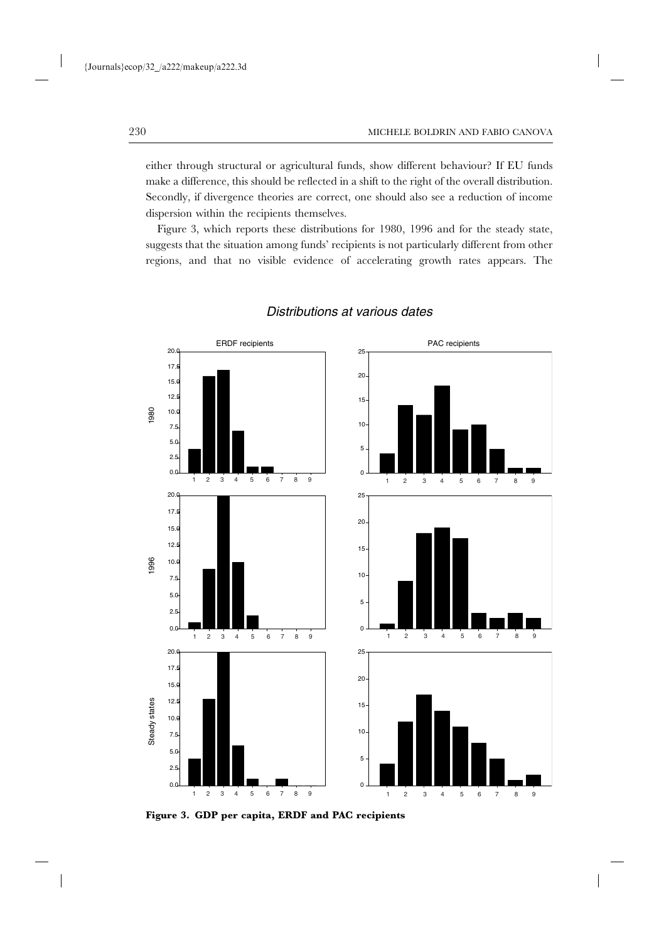either through structural or agricultural funds, show different behaviour? If EU funds make a difference, this should be reflected in a shift to the right of the overall distribution. Secondly, if divergence theories are correct, one should also see a reduction of income dispersion within the recipients themselves.

Figure 3, which reports these distributions for 1980, 1996 and for the steady state, suggests that the situation among funds' recipients is not particularly different from other regions, and that no visible evidence of accelerating growth rates appears. The



## Distributions at various dates

Figure 3. GDP per capita, ERDF and PAC recipients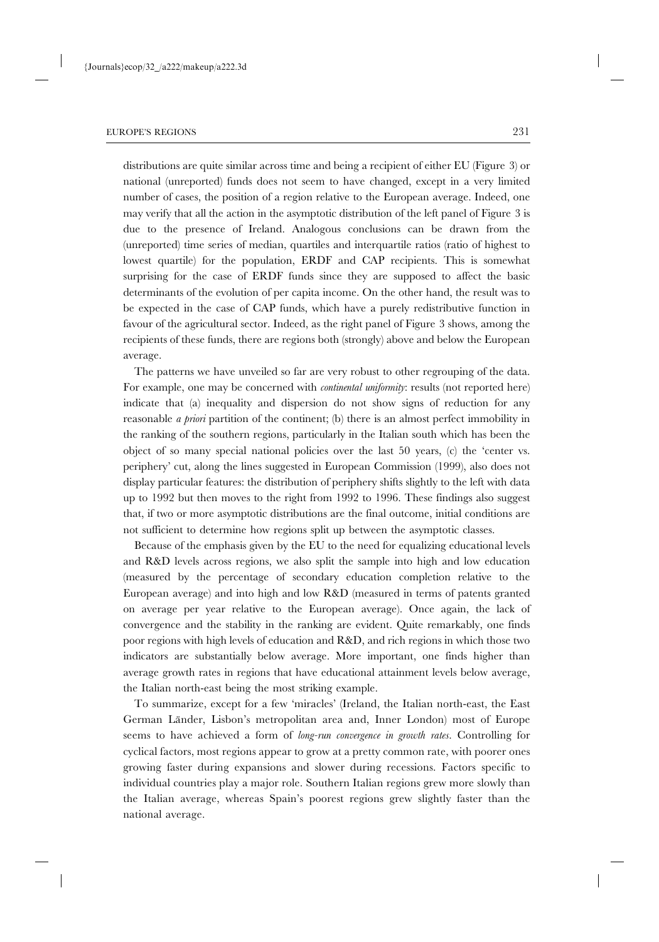distributions are quite similar across time and being a recipient of either EU (Figure 3) or national (unreported) funds does not seem to have changed, except in a very limited number of cases, the position of a region relative to the European average. Indeed, one may verify that all the action in the asymptotic distribution of the left panel of Figure 3 is due to the presence of Ireland. Analogous conclusions can be drawn from the (unreported) time series of median, quartiles and interquartile ratios (ratio of highest to lowest quartile) for the population, ERDF and CAP recipients. This is somewhat surprising for the case of ERDF funds since they are supposed to affect the basic determinants of the evolution of per capita income. On the other hand, the result was to be expected in the case of CAP funds, which have a purely redistributive function in favour of the agricultural sector. Indeed, as the right panel of Figure 3 shows, among the recipients of these funds, there are regions both (strongly) above and below the European average.

The patterns we have unveiled so far are very robust to other regrouping of the data. For example, one may be concerned with *continental uniformity*: results (not reported here) indicate that (a) inequality and dispersion do not show signs of reduction for any reasonable *a priori* partition of the continent; (b) there is an almost perfect immobility in the ranking of the southern regions, particularly in the Italian south which has been the object of so many special national policies over the last 50 years, (c) the 'center vs. periphery' cut, along the lines suggested in European Commission (1999), also does not display particular features: the distribution of periphery shifts slightly to the left with data up to 1992 but then moves to the right from 1992 to 1996. These findings also suggest that, if two or more asymptotic distributions are the final outcome, initial conditions are not sufficient to determine how regions split up between the asymptotic classes.

Because of the emphasis given by the EU to the need for equalizing educational levels and R&D levels across regions, we also split the sample into high and low education (measured by the percentage of secondary education completion relative to the European average) and into high and low R&D (measured in terms of patents granted on average per year relative to the European average). Once again, the lack of convergence and the stability in the ranking are evident. Quite remarkably, one finds poor regions with high levels of education and R&D, and rich regions in which those two indicators are substantially below average. More important, one finds higher than average growth rates in regions that have educational attainment levels below average, the Italian north-east being the most striking example.

To summarize, except for a few 'miracles' (Ireland, the Italian north-east, the East German Länder, Lisbon's metropolitan area and, Inner London) most of Europe seems to have achieved a form of long-run convergence in growth rates. Controlling for cyclical factors, most regions appear to grow at a pretty common rate, with poorer ones growing faster during expansions and slower during recessions. Factors specific to individual countries play a major role. Southern Italian regions grew more slowly than the Italian average, whereas Spain's poorest regions grew slightly faster than the national average.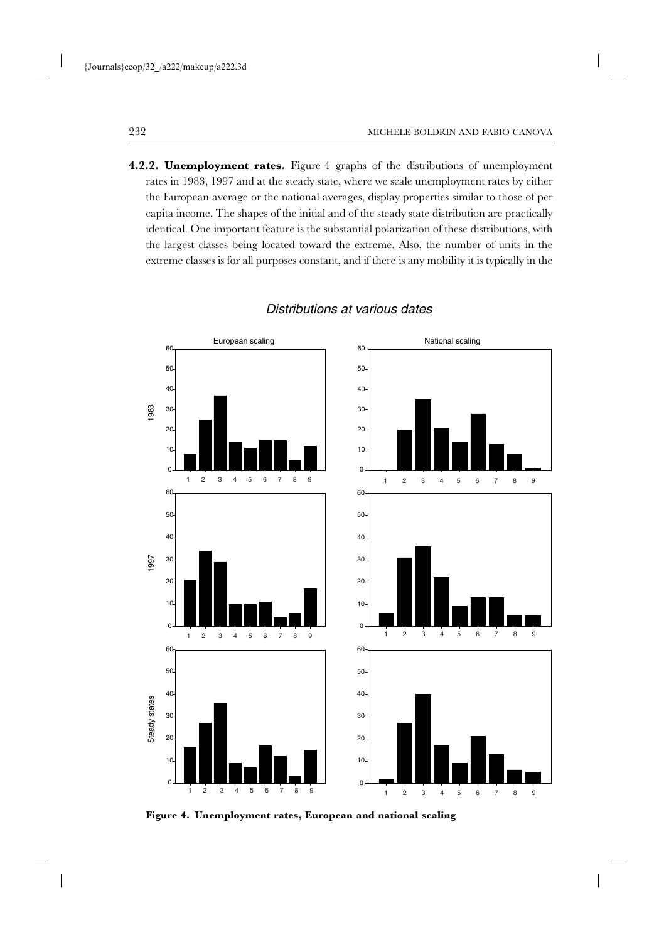4.2.2. Unemployment rates. Figure 4 graphs of the distributions of unemployment rates in 1983, 1997 and at the steady state, where we scale unemployment rates by either the European average or the national averages, display properties similar to those of per capita income. The shapes of the initial and of the steady state distribution are practically identical. One important feature is the substantial polarization of these distributions, with the largest classes being located toward the extreme. Also, the number of units in the extreme classes is for all purposes constant, and if there is any mobility it is typically in the



## Distributions at various dates

Figure 4. Unemployment rates, European and national scaling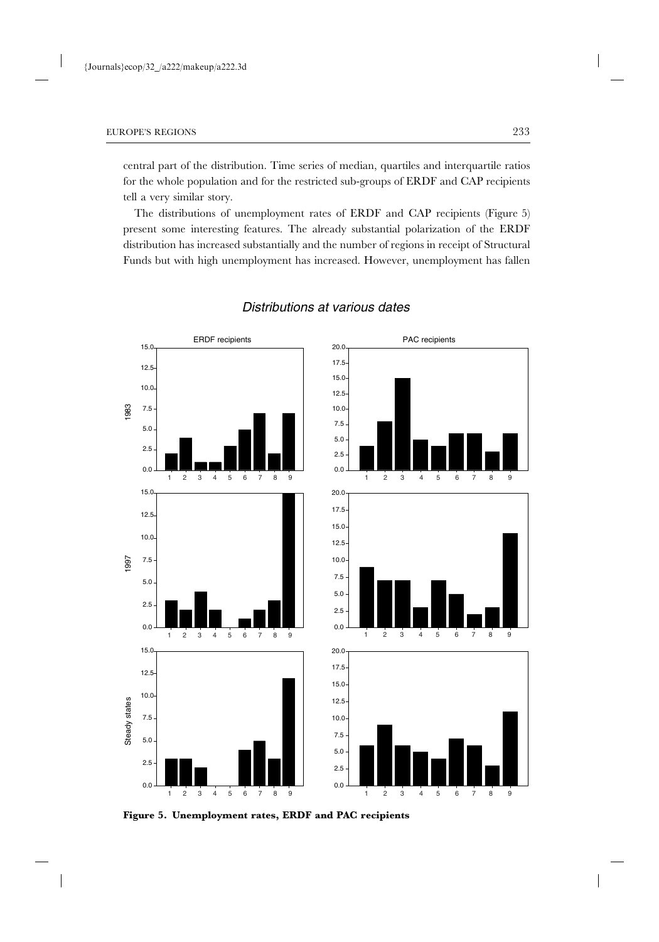central part of the distribution. Time series of median, quartiles and interquartile ratios for the whole population and for the restricted sub-groups of ERDF and CAP recipients tell a very similar story.

The distributions of unemployment rates of  $ERDF$  and  $CAP$  recipients (Figure 5) present some interesting features. The already substantial polarization of the ERDF distribution has increased substantially and the number of regions in receipt of Structural Funds but with high unemployment has increased. However, unemployment has fallen



## Distributions at various dates

Figure 5. Unemployment rates, ERDF and PAC recipients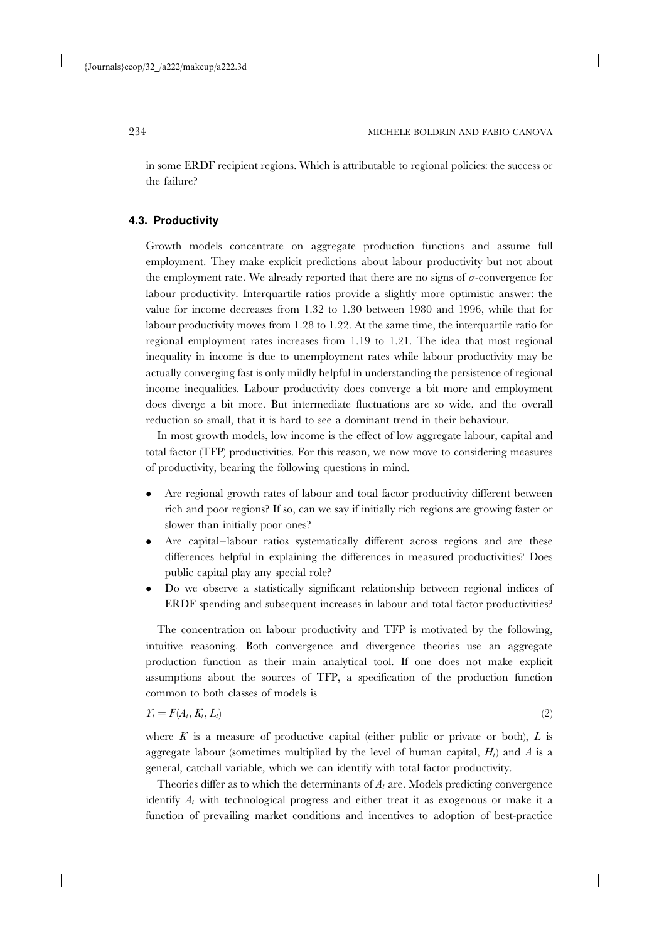in some ERDF recipient regions. Which is attributable to regional policies: the success or the failure?

#### 4.3. Productivity

Growth models concentrate on aggregate production functions and assume full employment. They make explicit predictions about labour productivity but not about the employment rate. We already reported that there are no signs of  $\sigma$ -convergence for labour productivity. Interquartile ratios provide a slightly more optimistic answer: the value for income decreases from 1.32 to 1.30 between 1980 and 1996, while that for labour productivity moves from 1.28 to 1.22. At the same time, the interquartile ratio for regional employment rates increases from 1.19 to 1.21. The idea that most regional inequality in income is due to unemployment rates while labour productivity may be actually converging fast is only mildly helpful in understanding the persistence of regional income inequalities. Labour productivity does converge a bit more and employment does diverge a bit more. But intermediate fluctuations are so wide, and the overall reduction so small, that it is hard to see a dominant trend in their behaviour.

In most growth models, low income is the effect of low aggregate labour, capital and total factor (TFP) productivities. For this reason, we now move to considering measures of productivity, bearing the following questions in mind.

- Are regional growth rates of labour and total factor productivity different between rich and poor regions? If so, can we say if initially rich regions are growing faster or slower than initially poor ones?
- Are capital-labour ratios systematically different across regions and are these differences helpful in explaining the differences in measured productivities? Does public capital play any special role?
- Do we observe a statistically significant relationship between regional indices of ERDF spending and subsequent increases in labour and total factor productivities?

The concentration on labour productivity and TFP is motivated by the following, intuitive reasoning. Both convergence and divergence theories use an aggregate production function as their main analytical tool. If one does not make explicit assumptions about the sources of TFP, a specification of the production function common to both classes of models is

$$
\varUpsilon_t = F(A_t, K_t, L_t) \tag{2}
$$

where  $K$  is a measure of productive capital (either public or private or both),  $L$  is aggregate labour (sometimes multiplied by the level of human capital,  $H_l$ ) and A is a general, catchall variable, which we can identify with total factor productivity.

Theories differ as to which the determinants of  $A_t$  are. Models predicting convergence identify  $A_t$  with technological progress and either treat it as exogenous or make it a function of prevailing market conditions and incentives to adoption of best-practice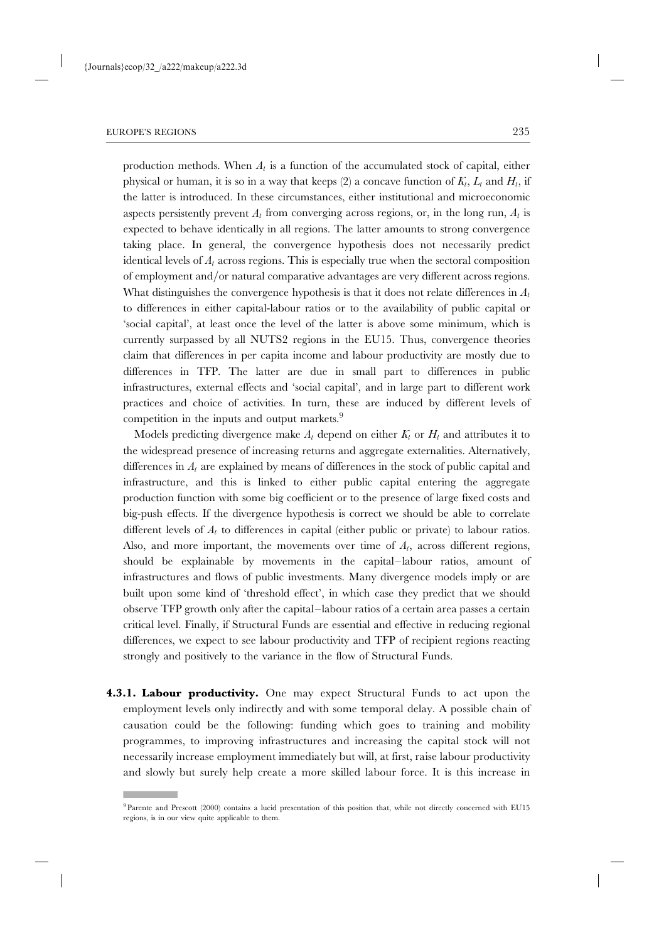production methods. When  $A_t$  is a function of the accumulated stock of capital, either physical or human, it is so in a way that keeps (2) a concave function of  $K_i$ ,  $L_i$  and  $H_i$ , if the latter is introduced. In these circumstances, either institutional and microeconomic aspects persistently prevent  $A_t$  from converging across regions, or, in the long run,  $A_t$  is expected to behave identically in all regions. The latter amounts to strong convergence taking place. In general, the convergence hypothesis does not necessarily predict identical levels of  $A_t$  across regions. This is especially true when the sectoral composition of employment and/or natural comparative advantages are very different across regions. What distinguishes the convergence hypothesis is that it does not relate differences in  $A_t$ to differences in either capital-labour ratios or to the availability of public capital or 'social capital', at least once the level of the latter is above some minimum, which is currently surpassed by all NUTS2 regions in the EU15. Thus, convergence theories claim that differences in per capita income and labour productivity are mostly due to differences in TFP. The latter are due in small part to differences in public infrastructures, external effects and 'social capital', and in large part to different work practices and choice of activities. In turn, these are induced by different levels of competition in the inputs and output markets.<sup>9</sup>

Models predicting divergence make  $A_t$  depend on either  $K_t$  or  $H_t$  and attributes it to the widespread presence of increasing returns and aggregate externalities. Alternatively, differences in  $A_t$  are explained by means of differences in the stock of public capital and infrastructure, and this is linked to either public capital entering the aggregate production function with some big coefficient or to the presence of large fixed costs and big-push effects. If the divergence hypothesis is correct we should be able to correlate different levels of  $A_t$  to differences in capital (either public or private) to labour ratios. Also, and more important, the movements over time of  $A_t$ , across different regions, should be explainable by movements in the capital-labour ratios, amount of infrastructures and flows of public investments. Many divergence models imply or are built upon some kind of 'threshold effect', in which case they predict that we should observe TFP growth only after the capital–labour ratios of a certain area passes a certain critical level. Finally, if Structural Funds are essential and effective in reducing regional differences, we expect to see labour productivity and TFP of recipient regions reacting strongly and positively to the variance in the flow of Structural Funds.

4.3.1. Labour productivity. One may expect Structural Funds to act upon the employment levels only indirectly and with some temporal delay. A possible chain of causation could be the following: funding which goes to training and mobility programmes, to improving infrastructures and increasing the capital stock will not necessarily increase employment immediately but will, at first, raise labour productivity and slowly but surely help create a more skilled labour force. It is this increase in

<sup>&</sup>lt;sup>9</sup> Parente and Prescott (2000) contains a lucid presentation of this position that, while not directly concerned with EU15 regions, is in our view quite applicable to them.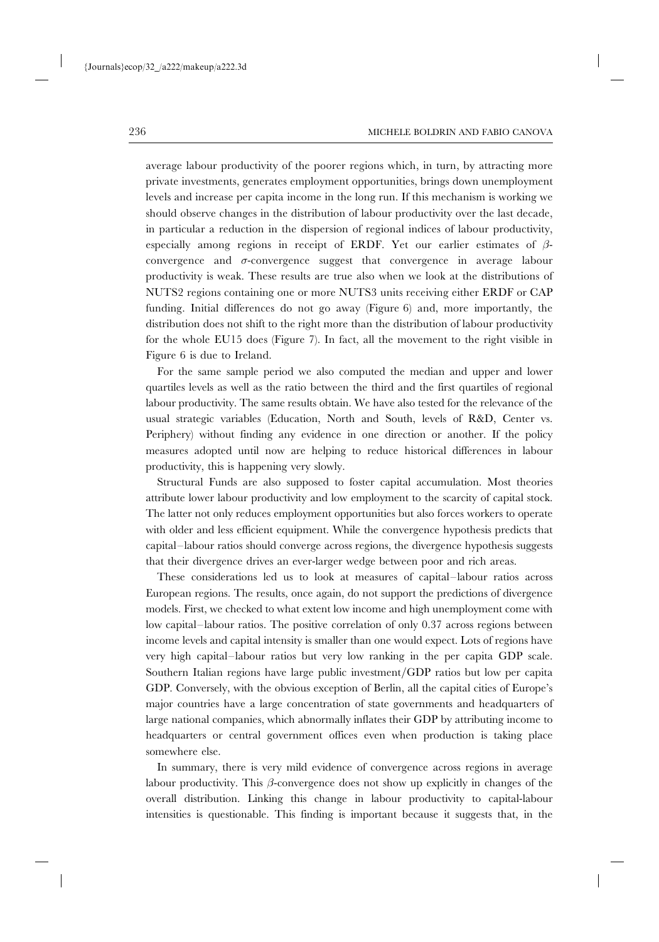average labour productivity of the poorer regions which, in turn, by attracting more private investments, generates employment opportunities, brings down unemployment levels and increase per capita income in the long run. If this mechanism is working we should observe changes in the distribution of labour productivity over the last decade, in particular a reduction in the dispersion of regional indices of labour productivity, especially among regions in receipt of ERDF. Yet our earlier estimates of  $\beta$ convergence and  $\sigma$ -convergence suggest that convergence in average labour productivity is weak. These results are true also when we look at the distributions of NUTS2 regions containing one or more NUTS3 units receiving either ERDF or CAP funding. Initial differences do not go away (Figure 6) and, more importantly, the distribution does not shift to the right more than the distribution of labour productivity for the whole EU15 does (Figure 7). In fact, all the movement to the right visible in Figure 6 is due to Ireland.

For the same sample period we also computed the median and upper and lower quartiles levels as well as the ratio between the third and the first quartiles of regional labour productivity. The same results obtain. We have also tested for the relevance of the usual strategic variables (Education, North and South, levels of R&D, Center vs. Periphery) without finding any evidence in one direction or another. If the policy measures adopted until now are helping to reduce historical differences in labour productivity, this is happening very slowly.

Structural Funds are also supposed to foster capital accumulation. Most theories attribute lower labour productivity and low employment to the scarcity of capital stock. The latter not only reduces employment opportunities but also forces workers to operate with older and less efficient equipment. While the convergence hypothesis predicts that capital–labour ratios should converge across regions, the divergence hypothesis suggests that their divergence drives an ever-larger wedge between poor and rich areas.

These considerations led us to look at measures of capital–labour ratios across European regions. The results, once again, do not support the predictions of divergence models. First, we checked to what extent low income and high unemployment come with low capital–labour ratios. The positive correlation of only 0.37 across regions between income levels and capital intensity is smaller than one would expect. Lots of regions have very high capital-labour ratios but very low ranking in the per capita GDP scale. Southern Italian regions have large public investment/GDP ratios but low per capita GDP. Conversely, with the obvious exception of Berlin, all the capital cities of Europe's major countries have a large concentration of state governments and headquarters of large national companies, which abnormally inflates their GDP by attributing income to headquarters or central government offices even when production is taking place somewhere else.

In summary, there is very mild evidence of convergence across regions in average labour productivity. This  $\beta$ -convergence does not show up explicitly in changes of the overall distribution. Linking this change in labour productivity to capital-labour intensities is questionable. This finding is important because it suggests that, in the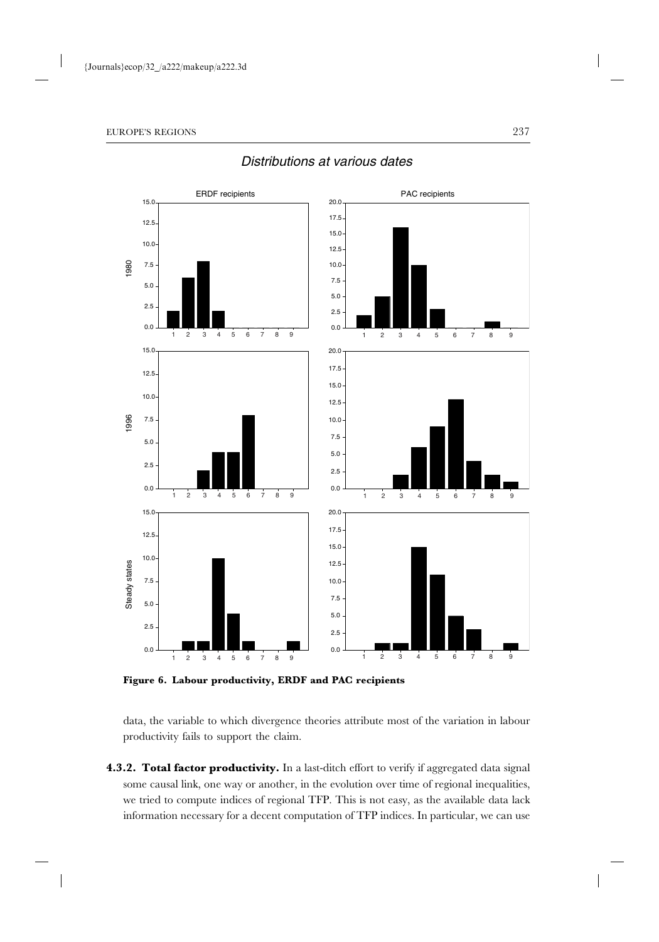

Distributions at various dates

Figure 6. Labour productivity, ERDF and PAC recipients

data, the variable to which divergence theories attribute most of the variation in labour productivity fails to support the claim.

4.3.2. Total factor productivity. In a last-ditch effort to verify if aggregated data signal some causal link, one way or another, in the evolution over time of regional inequalities, we tried to compute indices of regional TFP. This is not easy, as the available data lack information necessary for a decent computation of TFP indices. In particular, we can use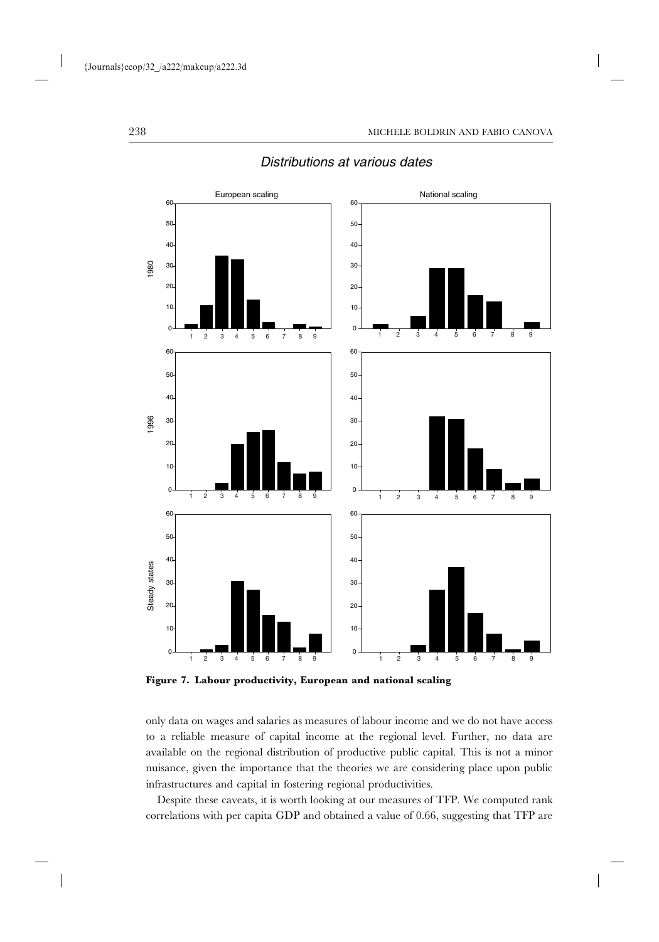

## Distributions at various dates

Figure 7. Labour productivity, European and national scaling

only data on wages and salaries as measures of labour income and we do not have access to a reliable measure of capital income at the regional level. Further, no data are available on the regional distribution of productive public capital. This is not a minor nuisance, given the importance that the theories we are considering place upon public infrastructures and capital in fostering regional productivities.

Despite these caveats, it is worth looking at our measures of TFP. We computed rank correlations with per capita GDP and obtained a value of  $0.66$ , suggesting that TFP are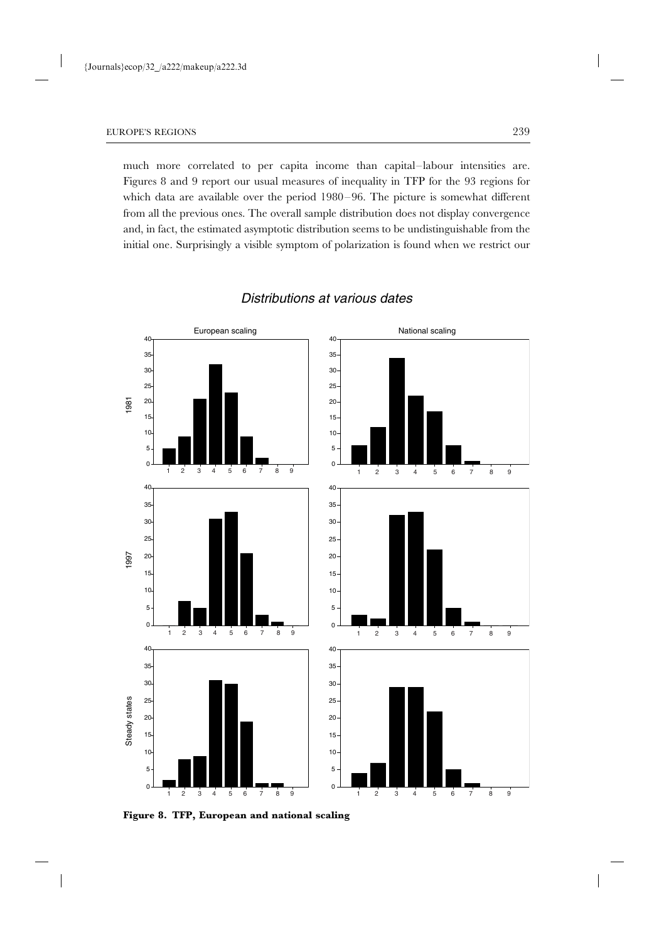much more correlated to per capita income than capital–labour intensities are. Figures 8 and 9 report our usual measures of inequality in TFP for the 93 regions for which data are available over the period  $1980-96$ . The picture is somewhat different  $\,$ from all the previous ones. The overall sample distribution does not display convergence and, in fact, the estimated asymptotic distribution seems to be undistinguishable from the initial one. Surprisingly a visible symptom of polarization is found when we restrict our



## Distributions at various dates

Figure 8. TFP, European and national scaling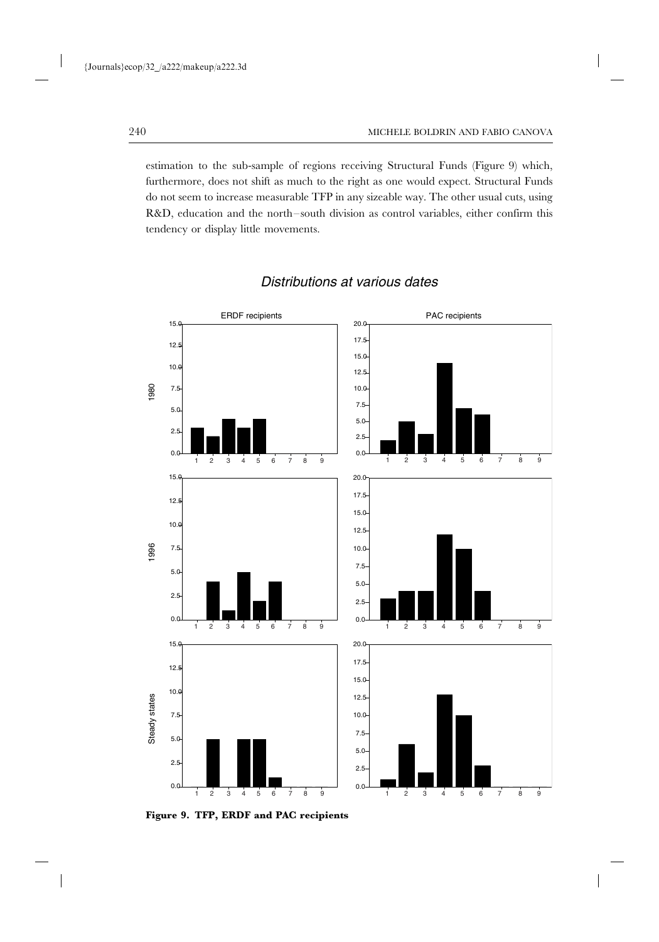estimation to the sub-sample of regions receiving Structural Funds (Figure 9) which, furthermore, does not shift as much to the right as one would expect. Structural Funds do not seem to increase measurable TFP in any sizeable way. The other usual cuts, using  $R&D$ , education and the north-south division as control variables, either confirm this tendency or display little movements.



## Distributions at various dates

Figure 9. TFP, ERDF and PAC recipients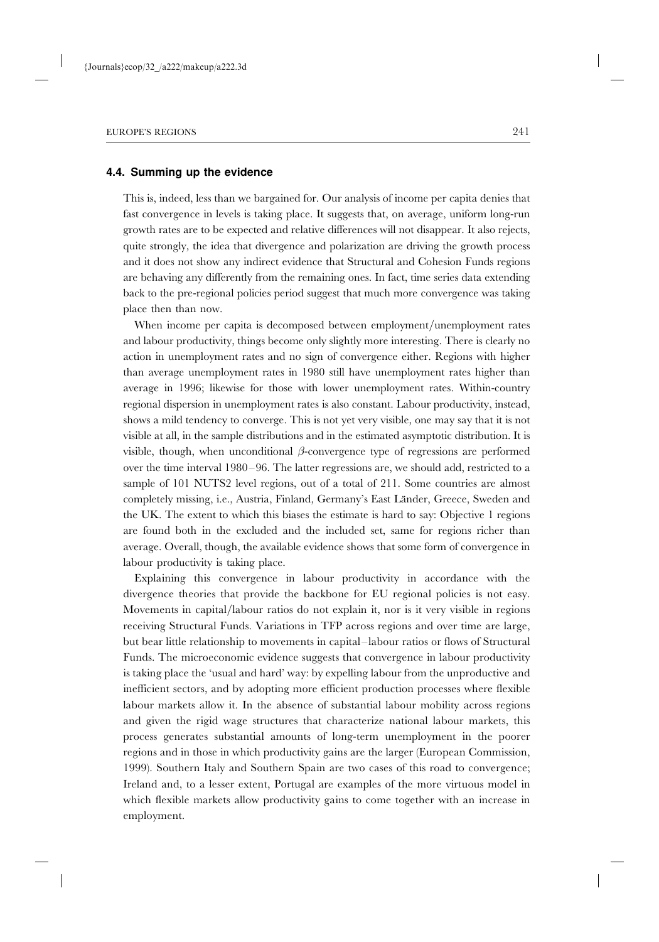#### 4.4. Summing up the evidence

This is, indeed, less than we bargained for. Our analysis of income per capita denies that fast convergence in levels is taking place. It suggests that, on average, uniform long-run growth rates are to be expected and relative differences will not disappear. It also rejects, quite strongly, the idea that divergence and polarization are driving the growth process and it does not show any indirect evidence that Structural and Cohesion Funds regions are behaving any differently from the remaining ones. In fact, time series data extending back to the pre-regional policies period suggest that much more convergence was taking place then than now.

When income per capita is decomposed between employment/unemployment rates and labour productivity, things become only slightly more interesting. There is clearly no action in unemployment rates and no sign of convergence either. Regions with higher than average unemployment rates in 1980 still have unemployment rates higher than average in 1996; likewise for those with lower unemployment rates. Within-country regional dispersion in unemployment rates is also constant. Labour productivity, instead, shows a mild tendency to converge. This is not yet very visible, one may say that it is not visible at all, in the sample distributions and in the estimated asymptotic distribution. It is visible, though, when unconditional  $\beta$ -convergence type of regressions are performed over the time interval 1980–96. The latter regressions are, we should add, restricted to a sample of 101 NUTS2 level regions, out of a total of 211. Some countries are almost completely missing, i.e., Austria, Finland, Germany's East Länder, Greece, Sweden and the UK. The extent to which this biases the estimate is hard to say: Objective 1 regions are found both in the excluded and the included set, same for regions richer than average. Overall, though, the available evidence shows that some form of convergence in labour productivity is taking place.

Explaining this convergence in labour productivity in accordance with the divergence theories that provide the backbone for EU regional policies is not easy. Movements in capital/labour ratios do not explain it, nor is it very visible in regions receiving Structural Funds. Variations in TFP across regions and over time are large, but bear little relationship to movements in capital–labour ratios or flows of Structural Funds. The microeconomic evidence suggests that convergence in labour productivity is taking place the 'usual and hard' way: by expelling labour from the unproductive and inefficient sectors, and by adopting more efficient production processes where flexible labour markets allow it. In the absence of substantial labour mobility across regions and given the rigid wage structures that characterize national labour markets, this process generates substantial amounts of long-term unemployment in the poorer regions and in those in which productivity gains are the larger (European Commission, 1999). Southern Italy and Southern Spain are two cases of this road to convergence; Ireland and, to a lesser extent, Portugal are examples of the more virtuous model in which flexible markets allow productivity gains to come together with an increase in employment.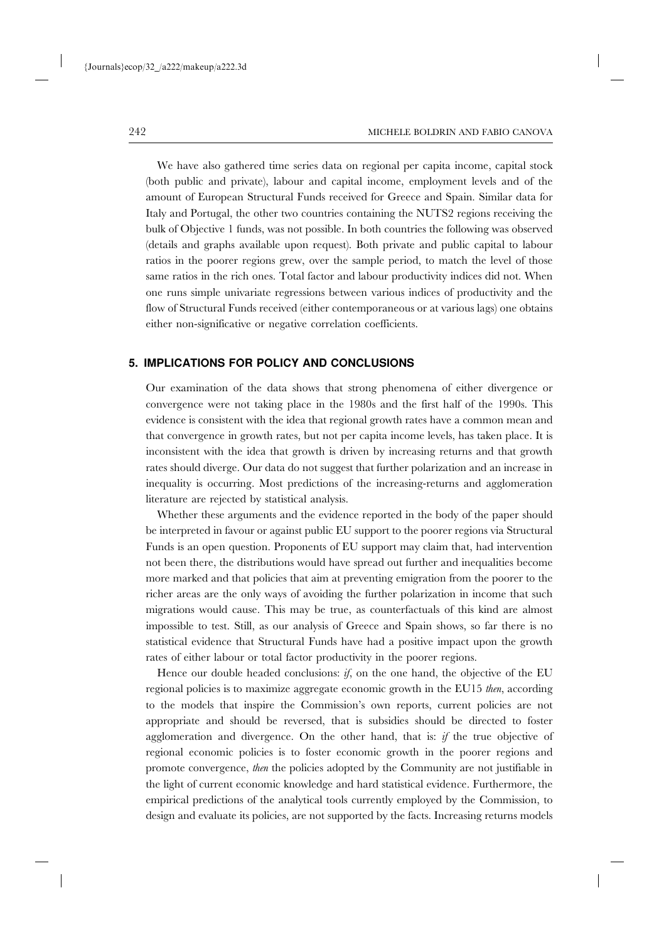We have also gathered time series data on regional per capita income, capital stock (both public and private), labour and capital income, employment levels and of the amount of European Structural Funds received for Greece and Spain. Similar data for Italy and Portugal, the other two countries containing the NUTS2 regions receiving the bulk of Objective 1 funds, was not possible. In both countries the following was observed (details and graphs available upon request). Both private and public capital to labour ratios in the poorer regions grew, over the sample period, to match the level of those same ratios in the rich ones. Total factor and labour productivity indices did not. When one runs simple univariate regressions between various indices of productivity and the flow of Structural Funds received (either contemporaneous or at various lags) one obtains either non-significative or negative correlation coefficients.

## 5. IMPLICATIONS FOR POLICY AND CONCLUSIONS

Our examination of the data shows that strong phenomena of either divergence or convergence were not taking place in the 1980s and the first half of the 1990s. This evidence is consistent with the idea that regional growth rates have a common mean and that convergence in growth rates, but not per capita income levels, has taken place. It is inconsistent with the idea that growth is driven by increasing returns and that growth rates should diverge. Our data do not suggest that further polarization and an increase in inequality is occurring. Most predictions of the increasing-returns and agglomeration literature are rejected by statistical analysis.

Whether these arguments and the evidence reported in the body of the paper should be interpreted in favour or against public EU support to the poorer regions via Structural Funds is an open question. Proponents of EU support may claim that, had intervention not been there, the distributions would have spread out further and inequalities become more marked and that policies that aim at preventing emigration from the poorer to the richer areas are the only ways of avoiding the further polarization in income that such migrations would cause. This may be true, as counterfactuals of this kind are almost impossible to test. Still, as our analysis of Greece and Spain shows, so far there is no statistical evidence that Structural Funds have had a positive impact upon the growth rates of either labour or total factor productivity in the poorer regions.

Hence our double headed conclusions: if, on the one hand, the objective of the EU regional policies is to maximize aggregate economic growth in the EU15 then, according to the models that inspire the Commission's own reports, current policies are not appropriate and should be reversed, that is subsidies should be directed to foster agglomeration and divergence. On the other hand, that is: if the true objective of regional economic policies is to foster economic growth in the poorer regions and promote convergence, *then* the policies adopted by the Community are not justifiable in the light of current economic knowledge and hard statistical evidence. Furthermore, the empirical predictions of the analytical tools currently employed by the Commission, to design and evaluate its policies, are not supported by the facts. Increasing returns models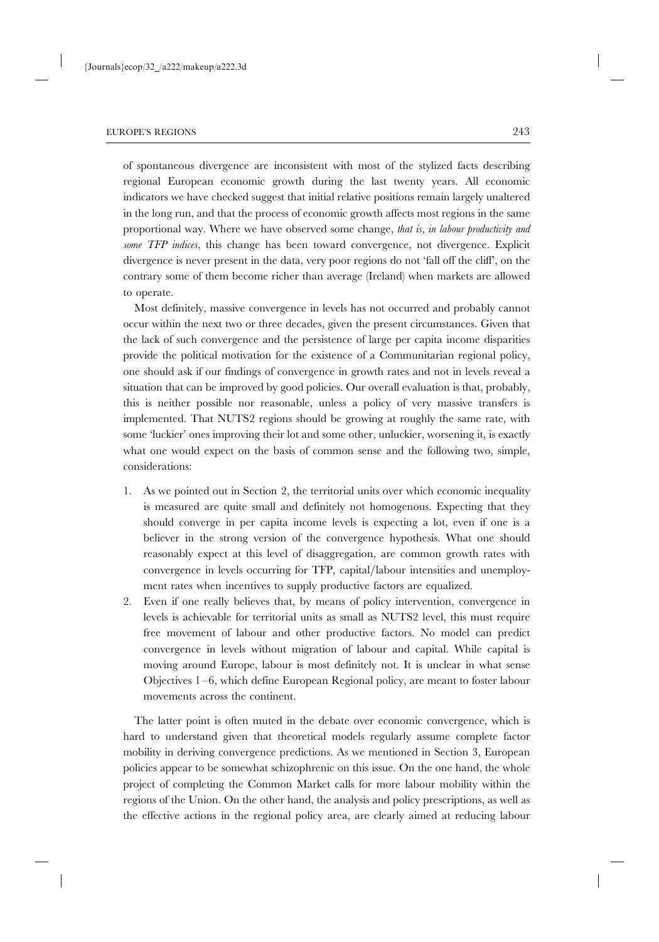of spontaneous divergence are inconsistent with most of the stylized facts describing regional European economic growth during the last twenty years. All economic indicators we have checked suggest that initial relative positions remain largely unaltered in the long run, and that the process of economic growth affects most regions in the same proportional way. Where we have observed some change, that is, in labour productivity and some TFP indices, this change has been toward convergence, not divergence. Explicit divergence is never present in the data, very poor regions do not 'fall off the cliff', on the contrary some of them become richer than average (Ireland) when markets are allowed to operate.

Most definitely, massive convergence in levels has not occurred and probably cannot occur within the next two or three decades, given the present circumstances. Given that the lack of such convergence and the persistence of large per capita income disparities provide the political motivation for the existence of a Communitarian regional policy, one should ask if our findings of convergence in growth rates and not in levels reveal a situation that can be improved by good policies. Our overall evaluation is that, probably, this is neither possible nor reasonable, unless a policy of very massive transfers is implemented. That NUTS2 regions should be growing at roughly the same rate, with some 'luckier' ones improving their lot and some other, unluckier, worsening it, is exactly what one would expect on the basis of common sense and the following two, simple, considerations:

- 1. As we pointed out in Section 2, the territorial units over which economic inequality is measured are quite small and definitely not homogenous. Expecting that they should converge in per capita income levels is expecting a lot, even if one is a believer in the strong version of the convergence hypothesis. What one should reasonably expect at this level of disaggregation, are common growth rates with convergence in levels occurring for TFP, capital/labour intensities and unemployment rates when incentives to supply productive factors are equalized.
- 2. Even if one really believes that, by means of policy intervention, convergence in levels is achievable for territorial units as small as NUTS2 level, this must require free movement of labour and other productive factors. No model can predict convergence in levels without migration of labour and capital. While capital is moving around Europe, labour is most definitely not. It is unclear in what sense Objectives  $1-6$ , which define European Regional policy, are meant to foster labour movements across the continent.

The latter point is often muted in the debate over economic convergence, which is hard to understand given that theoretical models regularly assume complete factor mobility in deriving convergence predictions. As we mentioned in Section 3, European policies appear to be somewhat schizophrenic on this issue. On the one hand, the whole project of completing the Common Market calls for more labour mobility within the regions of the Union. On the other hand, the analysis and policy prescriptions, as well as the effective actions in the regional policy area, are clearly aimed at reducing labour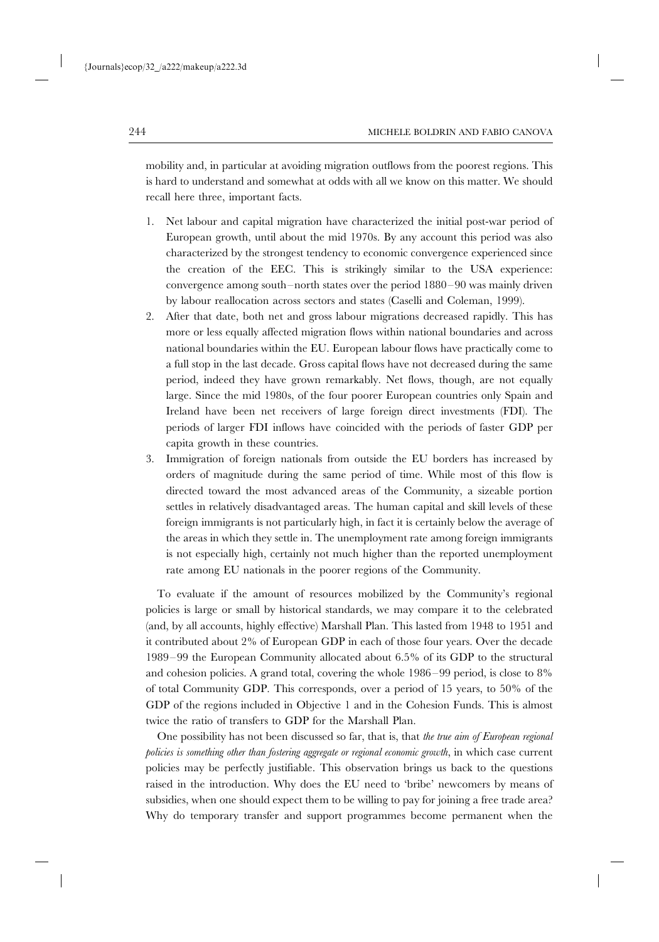mobility and, in particular at avoiding migration outflows from the poorest regions. This is hard to understand and somewhat at odds with all we know on this matter. We should recall here three, important facts.

- Net labour and capital migration have characterized the initial post-war period of 1. European growth, until about the mid 1970s. By any account this period was also characterized by the strongest tendency to economic convergence experienced since the creation of the EEC. This is strikingly similar to the USA experience: convergence among south-north states over the period 1880-90 was mainly driven by labour reallocation across sectors and states (Caselli and Coleman, 1999).
- 2. After that date, both net and gross labour migrations decreased rapidly. This has more or less equally affected migration flows within national boundaries and across national boundaries within the EU. European labour flows have practically come to a full stop in the last decade. Gross capital flows have not decreased during the same period, indeed they have grown remarkably. Net flows, though, are not equally large. Since the mid 1980s, of the four poorer European countries only Spain and Ireland have been net receivers of large foreign direct investments (FDI). The periods of larger FDI inflows have coincided with the periods of faster GDP per capita growth in these countries.
- 3. Immigration of foreign nationals from outside the EU borders has increased by orders of magnitude during the same period of time. While most of this flow is directed toward the most advanced areas of the Community, a sizeable portion settles in relatively disadvantaged areas. The human capital and skill levels of these foreign immigrants is not particularly high, in fact it is certainly below the average of the areas in which they settle in. The unemployment rate among foreign immigrants is not especially high, certainly not much higher than the reported unemployment rate among EU nationals in the poorer regions of the Community.

To evaluate if the amount of resources mobilized by the Community's regional policies is large or small by historical standards, we may compare it to the celebrated (and, by all accounts, highly effective) Marshall Plan. This lasted from 1948 to 1951 and it contributed about 2% of European GDP in each of those four years. Over the decade 1989–99 the European Community allocated about 6.5% of its GDP to the structural and cohesion policies. A grand total, covering the whole  $1986-99$  period, is close to  $8\%$ of total Community GDP. This corresponds, over a period of 15 years, to 50% of the GDP of the regions included in Objective 1 and in the Cohesion Funds. This is almost twice the ratio of transfers to GDP for the Marshall Plan.

One possibility has not been discussed so far, that is, that the true aim of European regional policies is something other than fostering aggregate or regional economic growth, in which case current policies may be perfectly justifiable. This observation brings us back to the questions raised in the introduction. Why does the EU need to 'bribe' newcomers by means of subsidies, when one should expect them to be willing to pay for joining a free trade area? Why do temporary transfer and support programmes become permanent when the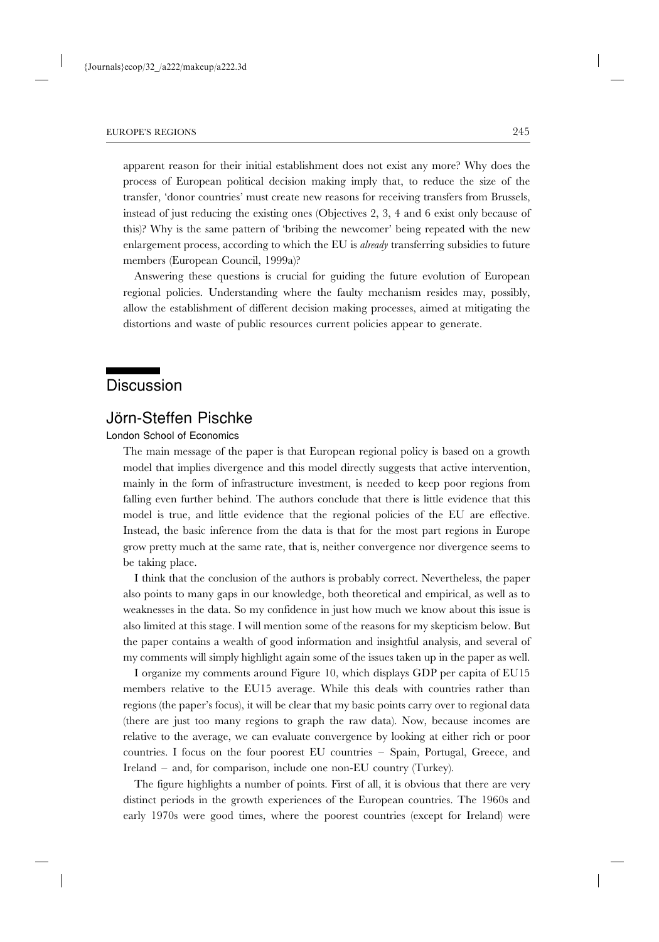apparent reason for their initial establishment does not exist any more? Why does the process of European political decision making imply that, to reduce the size of the transfer, 'donor countries' must create new reasons for receiving transfers from Brussels, instead of just reducing the existing ones (Objectives 2, 3, 4 and 6 exist only because of this)? Why is the same pattern of 'bribing the newcomer' being repeated with the new

enlargement process, according to which the EU is *already* transferring subsidies to future members (European Council, 1999a)? Answering these questions is crucial for guiding the future evolution of European

regional policies. Understanding where the faulty mechanism resides may, possibly, allow the establishment of different decision making processes, aimed at mitigating the distortions and waste of public resources current policies appear to generate.

# **Discussion**

# Jörn-Steffen Pischke

## London School of Economics

The main message of the paper is that European regional policy is based on a growth model that implies divergence and this model directly suggests that active intervention, mainly in the form of infrastructure investment, is needed to keep poor regions from falling even further behind. The authors conclude that there is little evidence that this model is true, and little evidence that the regional policies of the EU are effective. Instead, the basic inference from the data is that for the most part regions in Europe grow pretty much at the same rate, that is, neither convergence nor divergence seems to be taking place.

I think that the conclusion of the authors is probably correct. Nevertheless, the paper also points to many gaps in our knowledge, both theoretical and empirical, as well as to weaknesses in the data. So my confidence in just how much we know about this issue is also limited at this stage. I will mention some of the reasons for my skepticism below. But the paper contains a wealth of good information and insightful analysis, and several of my comments will simply highlight again some of the issues taken up in the paper as well.

I organize my comments around Figure 10, which displays GDP per capita of EU15 members relative to the EU15 average. While this deals with countries rather than regions (the paper's focus), it will be clear that my basic points carry over to regional data (there are just too many regions to graph the raw data). Now, because incomes are relative to the average, we can evaluate convergence by looking at either rich or poor countries. I focus on the four poorest EU countries - Spain, Portugal, Greece, and Ireland  $-$  and, for comparison, include one non-EU country (Turkey).

The figure highlights a number of points. First of all, it is obvious that there are very distinct periods in the growth experiences of the European countries. The 1960s and early 1970s were good times, where the poorest countries (except for Ireland) were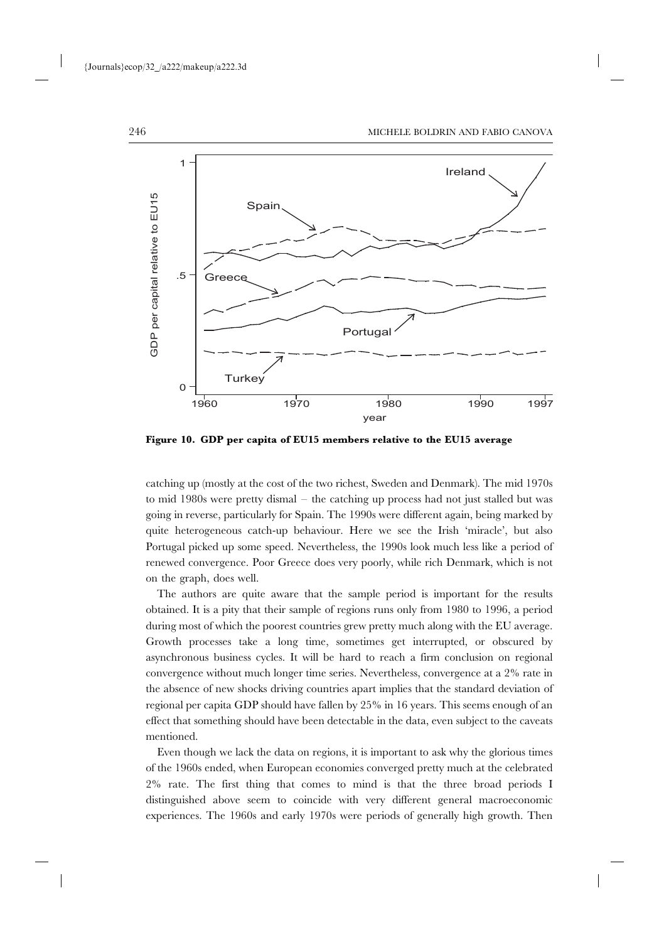

Figure 10. GDP per capita of EU15 members relative to the EU15 average

catching up (mostly at the cost of the two richest, Sweden and Denmark). The mid 1970s to mid 1980s were pretty dismal  $-$  the catching up process had not just stalled but was going in reverse, particularly for Spain. The 1990s were different again, being marked by quite heterogeneous catch-up behaviour. Here we see the Irish 'miracle', but also Portugal picked up some speed. Nevertheless, the 1990s look much less like a period of renewed convergence. Poor Greece does very poorly, while rich Denmark, which is not on the graph, does well.

The authors are quite aware that the sample period is important for the results obtained. It is a pity that their sample of regions runs only from 1980 to 1996, a period during most of which the poorest countries grew pretty much along with the EU average. Growth processes take a long time, sometimes get interrupted, or obscured by asynchronous business cycles. It will be hard to reach a firm conclusion on regional convergence without much longer time series. Nevertheless, convergence at a 2% rate in the absence of new shocks driving countries apart implies that the standard deviation of regional per capita GDP should have fallen by 25% in 16 years. This seems enough of an effect that something should have been detectable in the data, even subject to the caveats mentioned.

Even though we lack the data on regions, it is important to ask why the glorious times of the 1960s ended, when European economies converged pretty much at the celebrated 2% rate. The first thing that comes to mind is that the three broad periods I distinguished above seem to coincide with very different general macroeconomic experiences. The 1960s and early 1970s were periods of generally high growth. Then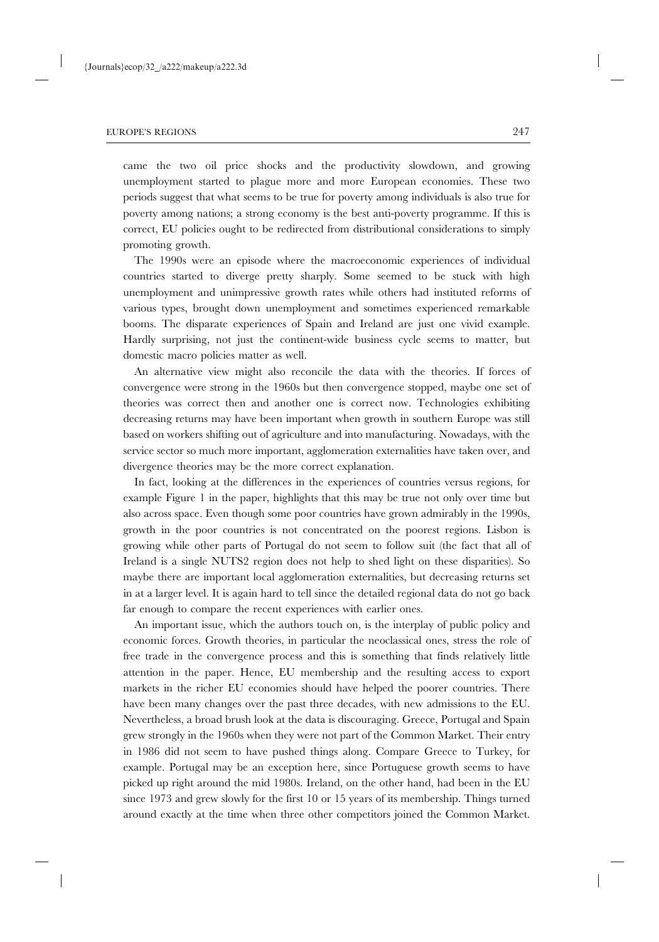came the two oil price shocks and the productivity slowdown, and growing unemployment started to plague more and more European economies. These two periods suggest that what seems to be true for poverty among individuals is also true for poverty among nations; a strong economy is the best anti-poverty programme. If this is correct, EU policies ought to be redirected from distributional considerations to simply promoting growth.

The 1990s were an episode where the macroeconomic experiences of individual countries started to diverge pretty sharply. Some seemed to be stuck with high unemployment and unimpressive growth rates while others had instituted reforms of various types, brought down unemployment and sometimes experienced remarkable booms. The disparate experiences of Spain and Ireland are just one vivid example. Hardly surprising, not just the continent-wide business cycle seems to matter, but domestic macro policies matter as well.

An alternative view might also reconcile the data with the theories. If forces of convergence were strong in the 1960s but then convergence stopped, maybe one set of theories was correct then and another one is correct now. Technologies exhibiting decreasing returns may have been important when growth in southern Europe was still based on workers shifting out of agriculture and into manufacturing. Nowadays, with the service sector so much more important, agglomeration externalities have taken over, and divergence theories may be the more correct explanation.

In fact, looking at the differences in the experiences of countries versus regions, for example Figure 1 in the paper, highlights that this may be true not only over time but also across space. Even though some poor countries have grown admirably in the 1990s, growth in the poor countries is not concentrated on the poorest regions. Lisbon is growing while other parts of Portugal do not seem to follow suit (the fact that all of Ireland is a single NUTS2 region does not help to shed light on these disparities). So maybe there are important local agglomeration externalities, but decreasing returns set in at a larger level. It is again hard to tell since the detailed regional data do not go back far enough to compare the recent experiences with earlier ones.

An important issue, which the authors touch on, is the interplay of public policy and economic forces. Growth theories, in particular the neoclassical ones, stress the role of free trade in the convergence process and this is something that finds relatively little attention in the paper. Hence, EU membership and the resulting access to export markets in the richer EU economies should have helped the poorer countries. There have been many changes over the past three decades, with new admissions to the EU. Nevertheless, a broad brush look at the data is discouraging. Greece, Portugal and Spain grew strongly in the 1960s when they were not part of the Common Market. Their entry in 1986 did not seem to have pushed things along. Compare Greece to Turkey, for example. Portugal may be an exception here, since Portuguese growth seems to have picked up right around the mid 1980s. Ireland, on the other hand, had been in the EU since 1973 and grew slowly for the first 10 or 15 years of its membership. Things turned around exactly at the time when three other competitors joined the Common Market.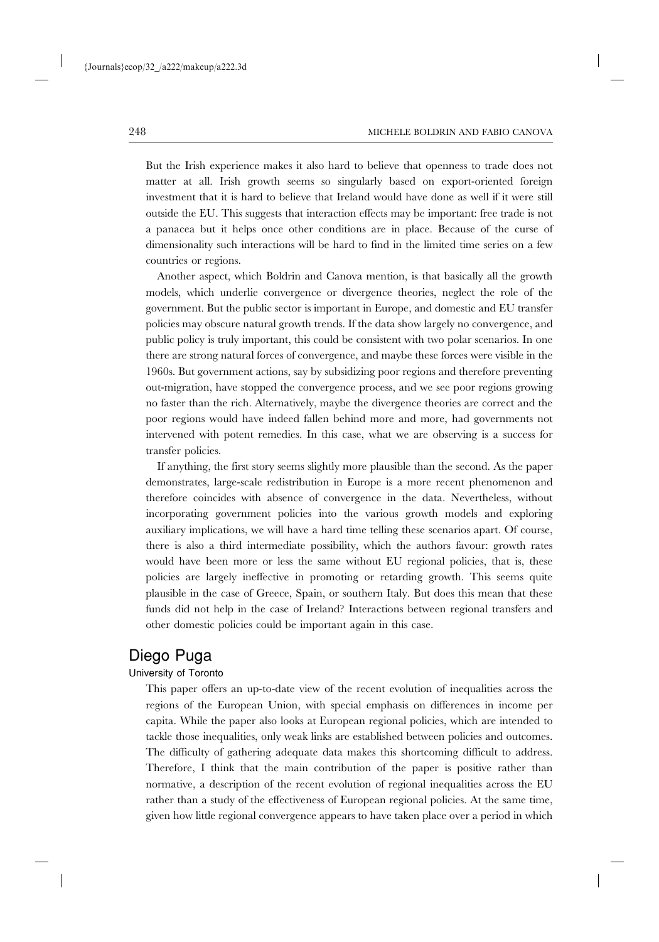But the Irish experience makes it also hard to believe that openness to trade does not matter at all. Irish growth seems so singularly based on export-oriented foreign investment that it is hard to believe that Ireland would have done as well if it were still outside the EU. This suggests that interaction effects may be important: free trade is not a panacea but it helps once other conditions are in place. Because of the curse of dimensionality such interactions will be hard to find in the limited time series on a few countries or regions.

Another aspect, which Boldrin and Canova mention, is that basically all the growth models, which underlie convergence or divergence theories, neglect the role of the government. But the public sector is important in Europe, and domestic and EU transfer policies may obscure natural growth trends. If the data show largely no convergence, and public policy is truly important, this could be consistent with two polar scenarios. In one there are strong natural forces of convergence, and maybe these forces were visible in the 1960s. But government actions, say by subsidizing poor regions and therefore preventing out-migration, have stopped the convergence process, and we see poor regions growing no faster than the rich. Alternatively, maybe the divergence theories are correct and the poor regions would have indeed fallen behind more and more, had governments not intervened with potent remedies. In this case, what we are observing is a success for transfer policies.

If anything, the first story seems slightly more plausible than the second. As the paper demonstrates, large-scale redistribution in Europe is a more recent phenomenon and therefore coincides with absence of convergence in the data. Nevertheless, without incorporating government policies into the various growth models and exploring auxiliary implications, we will have a hard time telling these scenarios apart. Of course, there is also a third intermediate possibility, which the authors favour: growth rates would have been more or less the same without EU regional policies, that is, these policies are largely ineffective in promoting or retarding growth. This seems quite plausible in the case of Greece, Spain, or southern Italy. But does this mean that these funds did not help in the case of Ireland? Interactions between regional transfers and other domestic policies could be important again in this case.

# Diego Puga

## University of Toronto

This paper offers an up-to-date view of the recent evolution of inequalities across the regions of the European Union, with special emphasis on differences in income per capita. While the paper also looks at European regional policies, which are intended to tackle those inequalities, only weak links are established between policies and outcomes. The difficulty of gathering adequate data makes this shortcoming difficult to address. Therefore, I think that the main contribution of the paper is positive rather than normative, a description of the recent evolution of regional inequalities across the EU rather than a study of the effectiveness of European regional policies. At the same time, given how little regional convergence appears to have taken place over a period in which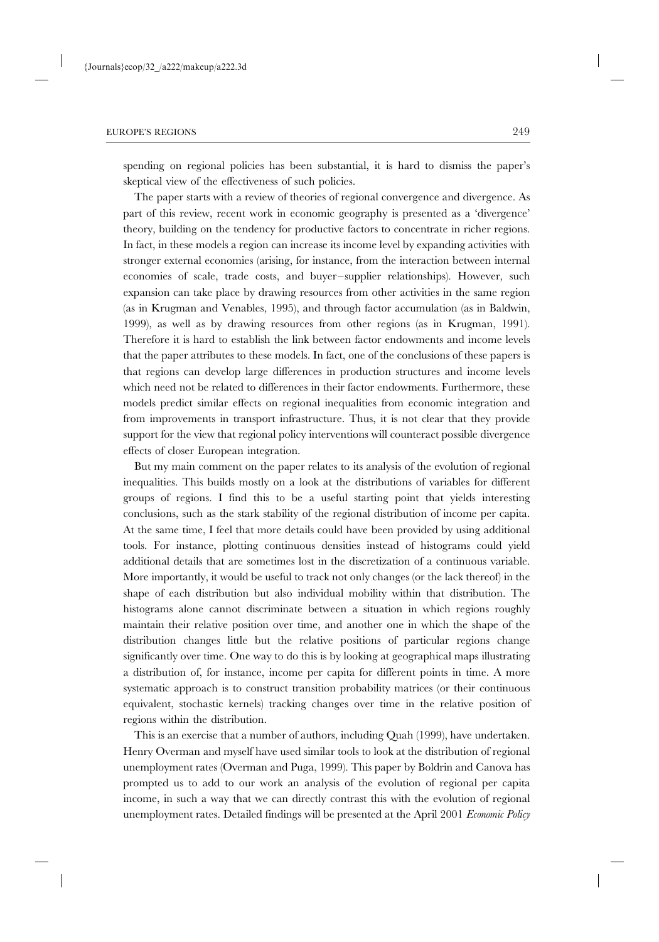spending on regional policies has been substantial, it is hard to dismiss the paper's skeptical view of the effectiveness of such policies.

The paper starts with a review of theories of regional convergence and divergence. As part of this review, recent work in economic geography is presented as a 'divergence' theory, building on the tendency for productive factors to concentrate in richer regions. In fact, in these models a region can increase its income level by expanding activities with stronger external economies (arising, for instance, from the interaction between internal economies of scale, trade costs, and buyer-supplier relationships). However, such expansion can take place by drawing resources from other activities in the same region (as in Krugman and Venables, 1995), and through factor accumulation (as in Baldwin, 1999), as well as by drawing resources from other regions (as in Krugman, 1991). Therefore it is hard to establish the link between factor endowments and income levels that the paper attributes to these models. In fact, one of the conclusions of these papers is that regions can develop large differences in production structures and income levels which need not be related to differences in their factor endowments. Furthermore, these models predict similar effects on regional inequalities from economic integration and from improvements in transport infrastructure. Thus, it is not clear that they provide support for the view that regional policy interventions will counteract possible divergence effects of closer European integration.

But my main comment on the paper relates to its analysis of the evolution of regional inequalities. This builds mostly on a look at the distributions of variables for different groups of regions. I find this to be a useful starting point that yields interesting conclusions, such as the stark stability of the regional distribution of income per capita. At the same time, I feel that more details could have been provided by using additional tools. For instance, plotting continuous densities instead of histograms could yield additional details that are sometimes lost in the discretization of a continuous variable. More importantly, it would be useful to track not only changes (or the lack thereof) in the shape of each distribution but also individual mobility within that distribution. The histograms alone cannot discriminate between a situation in which regions roughly maintain their relative position over time, and another one in which the shape of the distribution changes little but the relative positions of particular regions change significantly over time. One way to do this is by looking at geographical maps illustrating a distribution of, for instance, income per capita for different points in time. A more systematic approach is to construct transition probability matrices (or their continuous equivalent, stochastic kernels) tracking changes over time in the relative position of regions within the distribution.

This is an exercise that a number of authors, including Quah (1999), have undertaken. Henry Overman and myself have used similar tools to look at the distribution of regional unemployment rates (Overman and Puga, 1999). This paper by Boldrin and Canova has prompted us to add to our work an analysis of the evolution of regional per capita income, in such a way that we can directly contrast this with the evolution of regional unemployment rates. Detailed findings will be presented at the April 2001 Economic Policy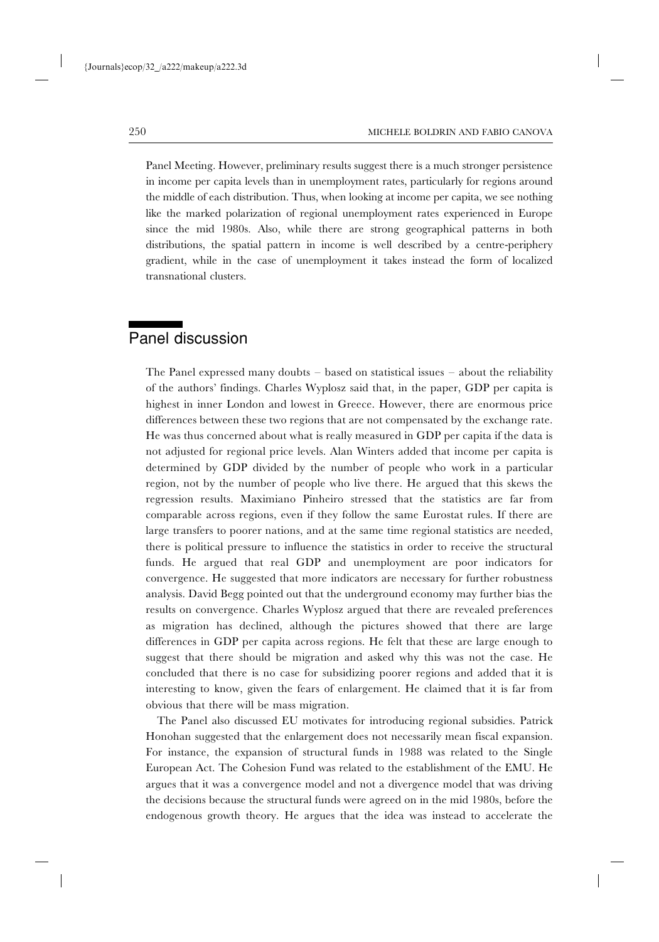Panel Meeting. However, preliminary results suggest there is a much stronger persistence in income per capita levels than in unemployment rates, particularly for regions around the middle of each distribution. Thus, when looking at income per capita, we see nothing like the marked polarization of regional unemployment rates experienced in Europe since the mid 1980s. Also, while there are strong geographical patterns in both distributions, the spatial pattern in income is well described by a centre-periphery gradient, while in the case of unemployment it takes instead the form of localized transnational clusters.

# Panel discussion

The Panel expressed many doubts  $-$  based on statistical issues  $-$  about the reliability of the authors' findings. Charles Wyplosz said that, in the paper, GDP per capita is highest in inner London and lowest in Greece. However, there are enormous price differences between these two regions that are not compensated by the exchange rate. He was thus concerned about what is really measured in GDP per capita if the data is not adjusted for regional price levels. Alan Winters added that income per capita is determined by GDP divided by the number of people who work in a particular region, not by the number of people who live there. He argued that this skews the regression results. Maximiano Pinheiro stressed that the statistics are far from comparable across regions, even if they follow the same Eurostat rules. If there are large transfers to poorer nations, and at the same time regional statistics are needed, there is political pressure to influence the statistics in order to receive the structural funds. He argued that real GDP and unemployment are poor indicators for convergence. He suggested that more indicators are necessary for further robustness analysis. David Begg pointed out that the underground economy may further bias the results on convergence. Charles Wyplosz argued that there are revealed preferences as migration has declined, although the pictures showed that there are large differences in GDP per capita across regions. He felt that these are large enough to suggest that there should be migration and asked why this was not the case. He concluded that there is no case for subsidizing poorer regions and added that it is interesting to know, given the fears of enlargement. He claimed that it is far from obvious that there will be mass migration.

The Panel also discussed EU motivates for introducing regional subsidies. Patrick Honohan suggested that the enlargement does not necessarily mean fiscal expansion. For instance, the expansion of structural funds in 1988 was related to the Single European Act. The Cohesion Fund was related to the establishment of the EMU. He argues that it was a convergence model and not a divergence model that was driving the decisions because the structural funds were agreed on in the mid 1980s, before the endogenous growth theory. He argues that the idea was instead to accelerate the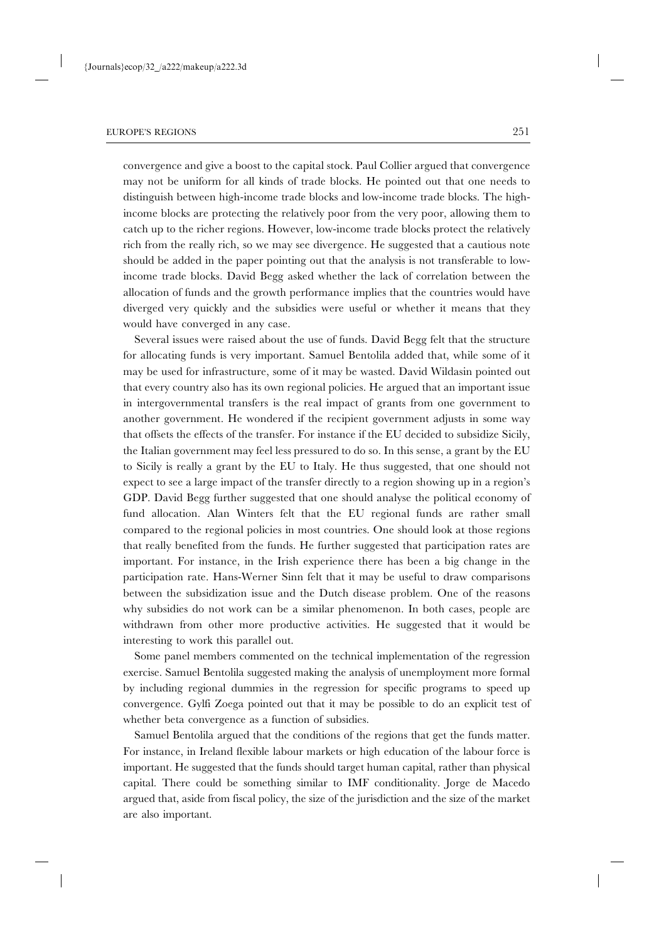convergence and give a boost to the capital stock. Paul Collier argued that convergence may not be uniform for all kinds of trade blocks. He pointed out that one needs to distinguish between high-income trade blocks and low-income trade blocks. The highincome blocks are protecting the relatively poor from the very poor, allowing them to catch up to the richer regions. However, low-income trade blocks protect the relatively rich from the really rich, so we may see divergence. He suggested that a cautious note should be added in the paper pointing out that the analysis is not transferable to lowincome trade blocks. David Begg asked whether the lack of correlation between the allocation of funds and the growth performance implies that the countries would have diverged very quickly and the subsidies were useful or whether it means that they would have converged in any case.

Several issues were raised about the use of funds. David Begg felt that the structure for allocating funds is very important. Samuel Bentolila added that, while some of it may be used for infrastructure, some of it may be wasted. David Wildasin pointed out that every country also has its own regional policies. He argued that an important issue in intergovernmental transfers is the real impact of grants from one government to another government. He wondered if the recipient government adjusts in some way that offsets the effects of the transfer. For instance if the EU decided to subsidize Sicily, the Italian government may feel less pressured to do so. In this sense, a grant by the EU to Sicily is really a grant by the EU to Italy. He thus suggested, that one should not expect to see a large impact of the transfer directly to a region showing up in a region's GDP. David Begg further suggested that one should analyse the political economy of fund allocation. Alan Winters felt that the EU regional funds are rather small compared to the regional policies in most countries. One should look at those regions that really benefited from the funds. He further suggested that participation rates are important. For instance, in the Irish experience there has been a big change in the participation rate. Hans-Werner Sinn felt that it may be useful to draw comparisons between the subsidization issue and the Dutch disease problem. One of the reasons why subsidies do not work can be a similar phenomenon. In both cases, people are withdrawn from other more productive activities. He suggested that it would be interesting to work this parallel out.

Some panel members commented on the technical implementation of the regression exercise. Samuel Bentolila suggested making the analysis of unemployment more formal by including regional dummies in the regression for specific programs to speed up convergence. Gylfi Zoega pointed out that it may be possible to do an explicit test of whether beta convergence as a function of subsidies.

Samuel Bentolila argued that the conditions of the regions that get the funds matter. For instance, in Ireland flexible labour markets or high education of the labour force is important. He suggested that the funds should target human capital, rather than physical capital. There could be something similar to IMF conditionality. Jorge de Macedo argued that, aside from fiscal policy, the size of the jurisdiction and the size of the market are also important.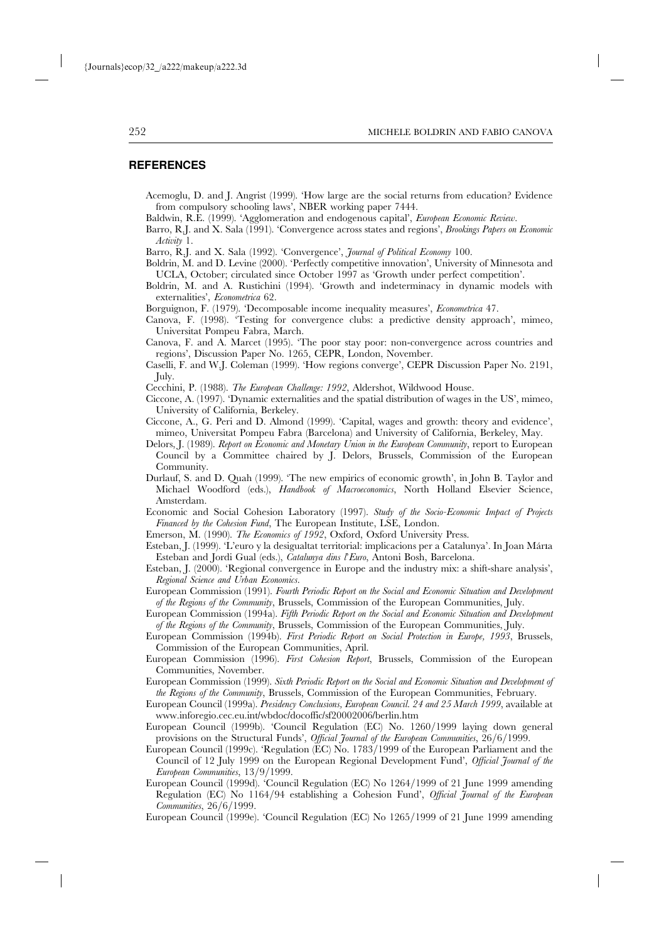#### **REFERENCES**

- Acemoglu, D. and J. Angrist (1999). 'How large are the social returns from education? Evidence from compulsory schooling laws', NBER working paper 7444.
- Baldwin, R.E. (1999). 'Agglomeration and endogenous capital', *European Economic Review*.
- Barro, R.J. and X. Sala (1991). 'Convergence across states and regions', Brookings Papers on Economic Activity 1.
- Barro, R.J. and X. Sala (1992). 'Convergence', Journal of Political Economy 100.
- Boldrin, M. and D. Levine (2000). 'Perfectly competitive innovation', University of Minnesota and UCLA, October; circulated since October 1997 as 'Growth under perfect competition'.
- Boldrin, M. and A. Rustichini (1994). 'Growth and indeterminacy in dynamic models with externalities', Econometrica 62.
- Borguignon, F. (1979). 'Decomposable income inequality measures', *Econometrica* 47.
- Canova, F. (1998). 'Testing for convergence clubs: a predictive density approach', mimeo, Universitat Pompeu Fabra, March.
- Canova, F. and A. Marcet (1995). 'The poor stay poor: non-convergence across countries and regions', Discussion Paper No. 1265, CEPR, London, November.
- Caselli, F. and W.J. Coleman (1999). 'How regions converge', CEPR Discussion Paper No. 2191, July.
- Cecchini, P. (1988). The European Challenge: 1992, Aldershot, Wildwood House.
- Ciccone, A. (1997). 'Dynamic externalities and the spatial distribution of wages in the US', mimeo, University of California, Berkeley.
- Ciccone, A., G. Peri and D. Almond (1999). 'Capital, wages and growth: theory and evidence', mimeo, Universitat Pompeu Fabra (Barcelona) and University of California, Berkeley, May.
- Delors, J. (1989). Report on Economic and Monetary Union in the European Community, report to European Council by a Committee chaired by J. Delors, Brussels, Commission of the European Community.
- Durlauf, S. and D. Quah (1999). 'The new empirics of economic growth', in John B. Taylor and Michael Woodford (eds.), *Handbook of Macroeconomics*, North Holland Elsevier Science, Amsterdam.
- Economic and Social Cohesion Laboratory (1997). Study of the Socio-Economic Impact of Projects Financed by the Cohesion Fund, The European Institute, LSE, London.
- Emerson, M. (1990). The Economics of 1992, Oxford, Oxford University Press.
- Esteban, J. (1999). 'L'euro y la desigualtat territorial: implicacions per a Catalunya'. In Joan Mária Esteban and Jordi Gual (eds.), Catalunya dins l'Euro, Antoni Bosh, Barcelona.
- Esteban, J. (2000). Regional convergence in Europe and the industry mix: a shift-share analysis', Regional Science and Urban Economics.
- European Commission (1991). Fourth Periodic Report on the Social and Economic Situation and Development of the Regions of the Community, Brussels, Commission of the European Communities, July.
- European Commission (1994a). Fifth Periodic Report on the Social and Economic Situation and Development of the Regions of the Community, Brussels, Commission of the European Communities, July.
- European Commission (1994b). First Periodic Report on Social Protection in Europe, 1993, Brussels, Commission of the European Communities, April.
- European Commission (1996). First Cohesion Report, Brussels, Commission of the European Communities, November.
- European Commission (1999). Sixth Periodic Report on the Social and Economic Situation and Development of the Regions of the Community, Brussels, Commission of the European Communities, February.
- European Council (1999a). Presidency Conclusions, European Council. 24 and 25 March 1999, available at www.inforegio.cec.eu.int/wbdoc/docoffic/sf20002006/berlin.htm
- European Council (1999b). 'Council Regulation (EC) No. 1260/1999 laying down general provisions on the Structural Funds', *Official Journal of the European Communities*, 26/6/1999.
- European Council (1999c). 'Regulation (EC) No. 1783/1999 of the European Parliament and the Council of 12 July 1999 on the European Regional Development Fund', Official Journal of the European Communities, 13/9/1999.
- European Council (1999d). 'Council Regulation (EC) No 1264/1999 of 21 June 1999 amending Regulation (EC) No 1164/94 establishing a Cohesion Fund', Official Journal of the European *Communities*, 26/6/1999.